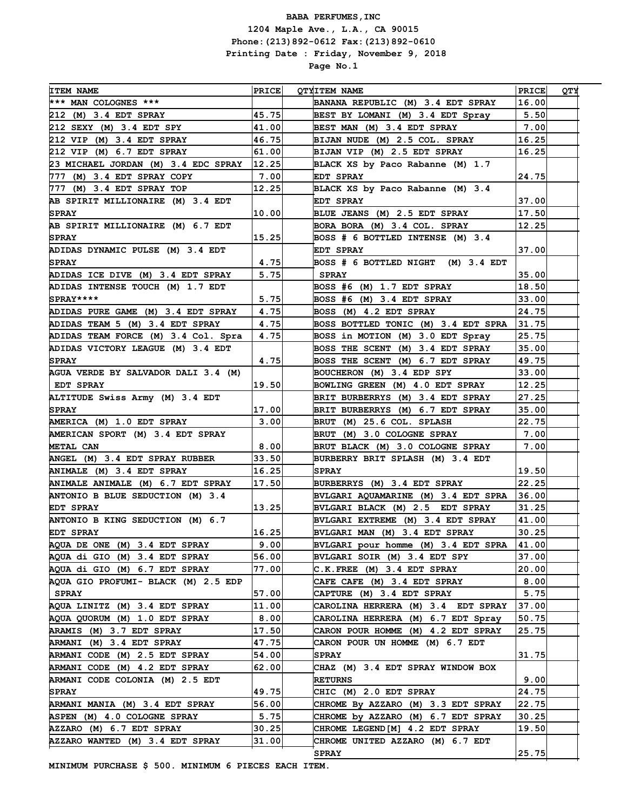| <b>ITEM NAME</b>                    | <b>PRICE</b> | <b>OTYITEM NAME</b>                 | <b>PRICE</b> | VТQ |
|-------------------------------------|--------------|-------------------------------------|--------------|-----|
| *** MAN COLOGNES ***                |              | BANANA REPUBLIC (M) 3.4 EDT SPRAY   | 16.00        |     |
| 212 (M) 3.4 EDT SPRAY               | 45.75        | BEST BY LOMANI (M) 3.4 EDT Spray    | 5.50         |     |
| 212 SEXY (M) 3.4 EDT SPY            | 41.00        | BEST MAN (M) 3.4 EDT SPRAY          | 7.00         |     |
| 212 VIP (M) 3.4 EDT SPRAY           | 46.75        | BIJAN NUDE (M) 2.5 COL. SPRAY       | 16.25        |     |
| 212 VIP (M) 6.7 EDT SPRAY           | 61.00        | BIJAN VIP (M) 2.5 EDT SPRAY         | 16.25        |     |
| 23 MICHAEL JORDAN (M) 3.4 EDC SPRAY | 12.25        | BLACK XS by Paco Rabanne (M) 1.7    |              |     |
| 777 (M) 3.4 EDT SPRAY COPY          | 7.00         | EDT SPRAY                           | 24.75        |     |
| 777 (M) 3.4 EDT SPRAY TOP           | 12.25        | BLACK XS by Paco Rabanne (M) 3.4    |              |     |
| AB SPIRIT MILLIONAIRE (M) 3.4 EDT   |              | EDT SPRAY                           | 37.00        |     |
| <b>SPRAY</b>                        | 10.00        | BLUE JEANS (M) 2.5 EDT SPRAY        | 17.50        |     |
| AB SPIRIT MILLIONAIRE (M) 6.7 EDT   |              | BORA BORA (M) 3.4 COL. SPRAY        | 12.25        |     |
| <b>SPRAY</b>                        | 15.25        | BOSS # 6 BOTTLED INTENSE (M) 3.4    |              |     |
| ADIDAS DYNAMIC PULSE (M) 3.4 EDT    |              | EDT SPRAY                           | 37.00        |     |
| <b>SPRAY</b>                        | 4.75         | BOSS # 6 BOTTLED NIGHT (M) 3.4 EDT  |              |     |
| ADIDAS ICE DIVE (M) 3.4 EDT SPRAY   | 5.75         | <b>SPRAY</b>                        | 35.00        |     |
| ADIDAS INTENSE TOUCH (M) 1.7 EDT    |              | BOSS #6 (M) 1.7 EDT SPRAY           | 18.50        |     |
| $SPRAY***$                          | 5.75         | BOSS #6 (M) 3.4 EDT SPRAY           | 33.00        |     |
| ADIDAS PURE GAME (M) 3.4 EDT SPRAY  | 4.75         | BOSS (M) 4.2 EDT SPRAY              | 24.75        |     |
| ADIDAS TEAM 5 (M) 3.4 EDT SPRAY     | 4.75         | BOSS BOTTLED TONIC (M) 3.4 EDT SPRA | 31.75        |     |
| ADIDAS TEAM FORCE (M) 3.4 Col. Spra | 4.75         | BOSS in MOTION (M) 3.0 EDT Spray    | 25.75        |     |
| ADIDAS VICTORY LEAGUE (M) 3.4 EDT   |              | BOSS THE SCENT (M) 3.4 EDT SPRAY    | 35.00        |     |
| <b>SPRAY</b>                        | 4.75         | BOSS THE SCENT (M) 6.7 EDT SPRAY    | 49.75        |     |
| AGUA VERDE BY SALVADOR DALI 3.4 (M) |              | BOUCHERON (M) 3.4 EDP SPY           | 33.00        |     |
| EDT SPRAY                           | 19.50        | BOWLING GREEN (M) 4.0 EDT SPRAY     | 12.25        |     |
| ALTITUDE Swiss Army (M) 3.4 EDT     |              | BRIT BURBERRYS (M) 3.4 EDT SPRAY    | 27.25        |     |
| <b>SPRAY</b>                        | 17.00        | BRIT BURBERRYS (M) 6.7 EDT SPRAY    | 35.00        |     |
| AMERICA (M) 1.0 EDT SPRAY           | 3.00         | BRUT (M) 25.6 COL. SPLASH           | 22.75        |     |
| AMERICAN SPORT (M) 3.4 EDT SPRAY    |              | BRUT (M) 3.0 COLOGNE SPRAY          | 7.00         |     |
| METAL CAN                           | 8.00         | BRUT BLACK (M) 3.0 COLOGNE SPRAY    | 7.00         |     |
| ANGEL (M) 3.4 EDT SPRAY RUBBER      | 33.50        | BURBERRY BRIT SPLASH (M) 3.4 EDT    |              |     |
| ANIMALE (M) 3.4 EDT SPRAY           | 16.25        | <b>SPRAY</b>                        | 19.50        |     |
| ANIMALE ANIMALE (M) 6.7 EDT SPRAY   | 17.50        | BURBERRYS (M) 3.4 EDT SPRAY         | 22.25        |     |
| ANTONIO B BLUE SEDUCTION (M) 3.4    |              | BVLGARI AQUAMARINE (M) 3.4 EDT SPRA | 36.00        |     |
| EDT SPRAY                           | 13.25        | BVLGARI BLACK (M) 2.5 EDT SPRAY     | 31.25        |     |
| ANTONIO B KING SEDUCTION (M) 6.7    |              | BVLGARI EXTREME (M) 3.4 EDT SPRAY   | 41.00        |     |
| <b>EDT SPRAY</b>                    | 16.25        | BVLGARI MAN (M) 3.4 EDT SPRAY       | 30.25        |     |
| AQUA DE ONE (M) 3.4 EDT SPRAY       | 9.00         | BVLGARI pour homme (M) 3.4 EDT SPRA | 41.00        |     |
| AQUA di GIO (M) 3.4 EDT SPRAY       | 56.00        | BVLGARI SOIR (M) 3.4 EDT SPY        | 37.00        |     |
| AQUA di GIO (M) 6.7 EDT SPRAY       | 77.00        | C.K.FREE (M) 3.4 EDT SPRAY          | 20.00        |     |
| AQUA GIO PROFUMI- BLACK (M) 2.5 EDP |              | CAFE CAFE (M) 3.4 EDT SPRAY         | 8.00         |     |
| SPRAY                               | 57.00        | CAPTURE (M) 3.4 EDT SPRAY           | 5.75         |     |
| AQUA LINITZ (M) 3.4 EDT SPRAY       | 11.00        | CAROLINA HERRERA (M) 3.4 EDT SPRAY  | 37.00        |     |
| AQUA QUORUM (M) 1.0 EDT SPRAY       | 8.00         | CAROLINA HERRERA (M) 6.7 EDT Spray  | 50.75        |     |
| ARAMIS (M) 3.7 EDT SPRAY            | 17.50        | CARON POUR HOMME (M) 4.2 EDT SPRAY  | 25.75        |     |
| ARMANI (M) 3.4 EDT SPRAY            | 47.75        | CARON POUR UN HOMME (M) 6.7 EDT     |              |     |
| ARMANI CODE (M) 2.5 EDT SPRAY       | 54.00        | <b>SPRAY</b>                        | 31.75        |     |
| ARMANI CODE (M) 4.2 EDT SPRAY       | 62.00        | CHAZ (M) 3.4 EDT SPRAY WINDOW BOX   |              |     |
| ARMANI CODE COLONIA (M) 2.5 EDT     |              | <b>RETURNS</b>                      | 9.00         |     |
| <b>SPRAY</b>                        | 49.75        | CHIC (M) 2.0 EDT SPRAY              | 24.75        |     |
| ARMANI MANIA (M) 3.4 EDT SPRAY      | 56.00        | CHROME By AZZARO (M) 3.3 EDT SPRAY  | 22.75        |     |
| ASPEN (M) 4.0 COLOGNE SPRAY         | 5.75         | CHROME by AZZARO (M) 6.7 EDT SPRAY  | 30.25        |     |
| AZZARO (M) 6.7 EDT SPRAY            | 30.25        | CHROME LEGEND[M] 4.2 EDT SPRAY      | 19.50        |     |
| AZZARO WANTED (M) 3.4 EDT SPRAY     | 31.00        | CHROME UNITED AZZARO (M) 6.7 EDT    |              |     |
|                                     |              | <b>SPRAY</b>                        | 25.75        |     |
|                                     |              |                                     |              |     |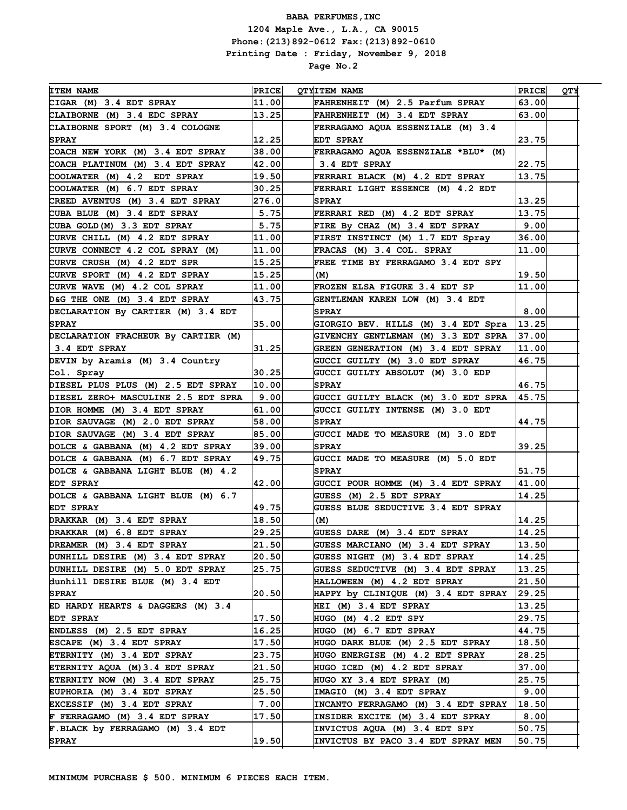| <b>ITEM NAME</b>                       | <b>PRICE</b> | <b>OTYITEM NAME</b>                                                 | PRICE                  | ОТУ |
|----------------------------------------|--------------|---------------------------------------------------------------------|------------------------|-----|
| CIGAR (M) 3.4 EDT SPRAY                | 11.00        | FAHRENHEIT (M) 2.5 Parfum SPRAY                                     | 63.00                  |     |
| CLAIBORNE (M) 3.4 EDC SPRAY            | 13.25        | FAHRENHEIT (M) 3.4 EDT SPRAY                                        | 63.00                  |     |
| CLAIBORNE SPORT (M) 3.4 COLOGNE        |              | FERRAGAMO AQUA ESSENZIALE (M) 3.4                                   |                        |     |
| <b>SPRAY</b>                           | 12.25        | EDT SPRAY                                                           | 23.75                  |     |
| COACH NEW YORK (M) 3.4 EDT SPRAY       | 38.00        | FERRAGAMO AQUA ESSENZIALE *BLU* (M)                                 |                        |     |
| COACH PLATINUM (M) 3.4 EDT SPRAY       | 42.00        | 3.4 EDT SPRAY                                                       | 22.75                  |     |
| COOLWATER (M) 4.2 EDT SPRAY            | 19.50        | FERRARI BLACK (M) 4.2 EDT SPRAY                                     | 13.75                  |     |
| COOLWATER (M) 6.7 EDT SPRAY            | 30.25        | FERRARI LIGHT ESSENCE (M) 4.2 EDT                                   |                        |     |
| CREED AVENTUS (M) 3.4 EDT SPRAY        | 276.0        | <b>SPRAY</b>                                                        | 13.25                  |     |
| CUBA BLUE (M) 3.4 EDT SPRAY            | 5.75         | FERRARI RED (M) 4.2 EDT SPRAY                                       | 13.75                  |     |
| CUBA GOLD (M) 3.3 EDT SPRAY            | 5.75         | FIRE By CHAZ (M) 3.4 EDT SPRAY                                      | 9.00                   |     |
| CURVE CHILL (M) 4.2 EDT SPRAY          | 11.00        | FIRST INSTINCT (M) 1.7 EDT Spray                                    | 36.00                  |     |
| CURVE CONNECT 4.2 COL SPRAY (M)        | 11.00        | FRACAS (M) 3.4 COL. SPRAY                                           | 11.00                  |     |
| CURVE CRUSH (M) 4.2 EDT SPR            | 15.25        | FREE TIME BY FERRAGAMO 3.4 EDT SPY                                  |                        |     |
| CURVE SPORT (M) 4.2 EDT SPRAY          | 15.25        | (M)                                                                 | 19.50                  |     |
| CURVE WAVE (M) 4.2 COL SPRAY           | 11.00        | FROZEN ELSA FIGURE 3.4 EDT SP                                       | 11.00                  |     |
| D&G THE ONE (M) 3.4 EDT SPRAY          | 43.75        | GENTLEMAN KAREN LOW (M) 3.4 EDT                                     |                        |     |
| DECLARATION By CARTIER (M) 3.4 EDT     |              | <b>SPRAY</b>                                                        | 8.00                   |     |
| <b>SPRAY</b>                           | 35.00        | GIORGIO BEV. HILLS (M) 3.4 EDT Spra                                 | 13.25                  |     |
| DECLARATION FRACHEUR By CARTIER (M)    |              | GIVENCHY GENTLEMAN (M) 3.3 EDT SPRA                                 | 37.00                  |     |
| $\vert$ 3.4 EDT SPRAY                  | 31.25        | GREEN GENERATION (M) 3.4 EDT SPRAY                                  | 11.00                  |     |
| DEVIN by Aramis (M) 3.4 Country        |              | GUCCI GUILTY (M) 3.0 EDT SPRAY                                      | 46.75                  |     |
| Col. Spray                             | 30.25        | GUCCI GUILTY ABSOLUT (M) 3.0 EDP                                    |                        |     |
| DIESEL PLUS PLUS (M) 2.5 EDT SPRAY     | 10.00        | <b>SPRAY</b>                                                        | 46.75                  |     |
| DIESEL ZERO+ MASCULINE 2.5 EDT SPRA    | 9.00         | GUCCI GUILTY BLACK (M) 3.0 EDT SPRA                                 | 45.75                  |     |
| DIOR HOMME (M) 3.4 EDT SPRAY           | 61.00        | GUCCI GUILTY INTENSE (M) 3.0 EDT                                    |                        |     |
| DIOR SAUVAGE (M) 2.0 EDT SPRAY         | 58.00        | <b>SPRAY</b>                                                        | 44.75                  |     |
| DIOR SAUVAGE (M) 3.4 EDT SPRAY         | 85.00        | GUCCI MADE TO MEASURE (M) 3.0 EDT                                   |                        |     |
| DOLCE & GABBANA (M) 4.2 EDT SPRAY      | 39.00        | <b>SPRAY</b>                                                        | 39.25                  |     |
| DOLCE & GABBANA (M) 6.7 EDT SPRAY      | 49.75        | GUCCI MADE TO MEASURE (M) 5.0 EDT                                   |                        |     |
| DOLCE & GABBANA LIGHT BLUE (M) 4.2     |              | <b>SPRAY</b>                                                        | 51.75                  |     |
| <b>EDT SPRAY</b>                       | 42.00        | GUCCI POUR HOMME (M) 3.4 EDT SPRAY                                  | 41.00                  |     |
| DOLCE & GABBANA LIGHT BLUE (M) 6.7     |              | GUESS (M) 2.5 EDT SPRAY                                             | 14.25                  |     |
| EDT SPRAY                              | 49.75        | <b>GUESS BLUE SEDUCTIVE 3.4 EDT SPRAY</b>                           |                        |     |
| DRAKKAR (M) 3.4 EDT SPRAY              | 18.50        | (M)                                                                 | 14.25                  |     |
| DRAKKAR (M) 6.8 EDT SPRAY              | 29.25        | GUESS DARE (M) 3.4 EDT SPRAY                                        | 14.25                  |     |
| DREAMER (M) 3.4 EDT SPRAY              | 21.50        | GUESS MARCIANO (M) 3.4 EDT SPRAY                                    | 13.50                  |     |
| DUNHILL DESIRE (M) 3.4 EDT SPRAY       | 20.50        | GUESS NIGHT (M) 3.4 EDT SPRAY                                       | 14.25                  |     |
| DUNHILL DESIRE (M) 5.0 EDT SPRAY       | 25.75        | GUESS SEDUCTIVE (M) 3.4 EDT SPRAY                                   | 13.25                  |     |
| dunhill DESIRE BLUE (M) 3.4 EDT        |              | HALLOWEEN (M) 4.2 EDT SPRAY                                         | 21.50                  |     |
| <b>SPRAY</b>                           | 20.50        | HAPPY by CLINIQUE (M) 3.4 EDT SPRAY                                 | 29.25                  |     |
| ED HARDY HEARTS & DAGGERS (M) 3.4      |              | HEI (M) 3.4 EDT SPRAY                                               | 13.25                  |     |
|                                        | 17.50        | HUGO (M) 4.2 EDT SPY                                                | 29.75                  |     |
| EDT SPRAY<br>ENDLESS (M) 2.5 EDT SPRAY | 16.25        | HUGO (M) 6.7 EDT SPRAY                                              | 44.75                  |     |
| ESCAPE (M) 3.4 EDT SPRAY               | 17.50        |                                                                     |                        |     |
| ETERNITY (M) 3.4 EDT SPRAY             | 23.75        | HUGO DARK BLUE (M) 2.5 EDT SPRAY<br>HUGO ENERGISE (M) 4.2 EDT SPRAY | 18.50<br>28.25         |     |
|                                        |              |                                                                     |                        |     |
| ETERNITY AQUA (M) 3.4 EDT SPRAY        | 21.50        | HUGO ICED (M) 4.2 EDT SPRAY                                         | 37.00                  |     |
| ETERNITY NOW (M) 3.4 EDT SPRAY         | 25.75        | HUGO XY 3.4 EDT SPRAY (M)                                           | 25.75                  |     |
| EUPHORIA (M) 3.4 EDT SPRAY             | 25.50        | IMAGIO (M) 3.4 EDT SPRAY                                            | 9.00                   |     |
| EXCESSIF (M) 3.4 EDT SPRAY             | 7.00         | INCANTO FERRAGAMO (M) 3.4 EDT SPRAY                                 | $\vert 18$ .50 $\vert$ |     |
| F FERRAGAMO (M) 3.4 EDT SPRAY          | 17.50        | INSIDER EXCITE (M) 3.4 EDT SPRAY                                    | 8.00                   |     |
| F.BLACK by FERRAGAMO (M) 3.4 EDT       |              | INVICTUS AQUA (M) 3.4 EDT SPY                                       | 50.75                  |     |
| <b>SPRAY</b>                           | 19.50        | INVICTUS BY PACO 3.4 EDT SPRAY MEN                                  | 50.75                  |     |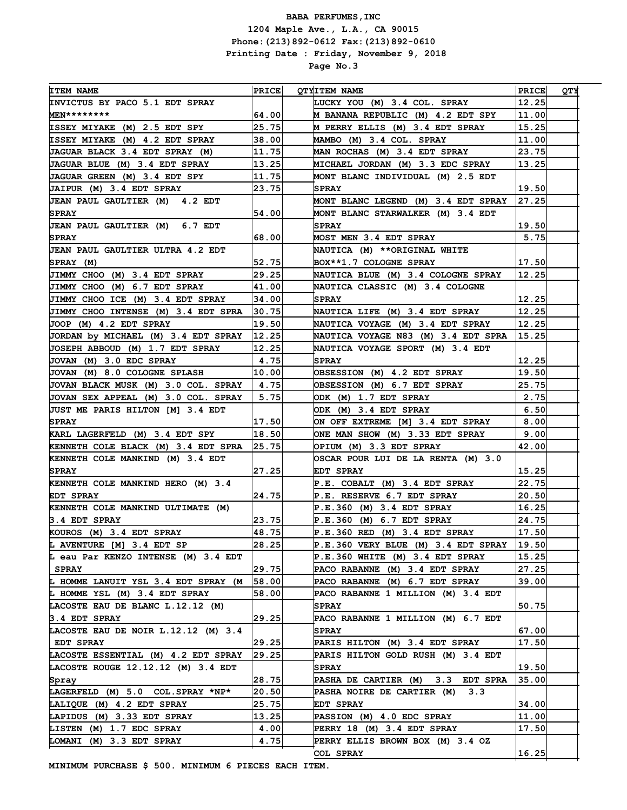| <b>ITEM NAME</b>                        | $ $ PRICE $ $ | <b>OTYITEM NAME</b>                    | <b>PRICE</b> | QТY |
|-----------------------------------------|---------------|----------------------------------------|--------------|-----|
| INVICTUS BY PACO 5.1 EDT SPRAY          |               | LUCKY YOU (M) 3.4 COL. SPRAY           | 12.25        |     |
| $MEN*********$                          | 64.00         | M BANANA REPUBLIC (M) 4.2 EDT SPY      | 11.00        |     |
| ISSEY MIYAKE (M) 2.5 EDT SPY            | 25.75         | M PERRY ELLIS (M) 3.4 EDT SPRAY        | 15.25        |     |
| ISSEY MIYAKE (M) 4.2 EDT SPRAY          | 38.00         | MAMBO (M) 3.4 COL. SPRAY               | 11.00        |     |
| JAGUAR BLACK 3.4 EDT SPRAY (M)          | 11.75         | MAN ROCHAS (M) 3.4 EDT SPRAY           | 23.75        |     |
| JAGUAR BLUE (M) 3.4 EDT SPRAY           | 13.25         | MICHAEL JORDAN (M) 3.3 EDC SPRAY       | 13.25        |     |
| JAGUAR GREEN (M) 3.4 EDT SPY            | 11.75         | MONT BLANC INDIVIDUAL (M) 2.5 EDT      |              |     |
| JAIPUR (M) 3.4 EDT SPRAY                | 23.75         | <b>SPRAY</b>                           | 19.50        |     |
| <b>JEAN PAUL GAULTIER (M) 4.2 EDT</b>   |               | MONT BLANC LEGEND (M) 3.4 EDT SPRAY    | 27.25        |     |
| <b>SPRAY</b>                            | 54.00         | MONT BLANC STARWALKER (M) 3.4 EDT      |              |     |
| JEAN PAUL GAULTIER (M) 6.7 EDT          |               | <b>SPRAY</b>                           | 19.50        |     |
| <b>SPRAY</b>                            | 68.00         | <b>MOST MEN 3.4 EDT SPRAY</b>          | 5.75         |     |
| <b>JEAN PAUL GAULTIER ULTRA 4.2 EDT</b> |               | NAUTICA (M) **ORIGINAL WHITE           |              |     |
| SPRAY (M)                               | 52.75         | BOX**1.7 COLOGNE SPRAY                 | 17.50        |     |
| JIMMY CHOO (M) 3.4 EDT SPRAY            | 29.25         | NAUTICA BLUE (M) 3.4 COLOGNE SPRAY     | 12.25        |     |
| JIMMY CHOO (M) 6.7 EDT SPRAY            | 41.00         | <b>NAUTICA CLASSIC (M) 3.4 COLOGNE</b> |              |     |
| JIMMY CHOO ICE (M) 3.4 EDT SPRAY        | 34.00         | <b>SPRAY</b>                           | 12.25        |     |
| JIMMY CHOO INTENSE (M) 3.4 EDT SPRA     | 30.75         | NAUTICA LIFE (M) 3.4 EDT SPRAY         | 12.25        |     |
| JOOP (M) 4.2 EDT SPRAY                  | 19.50         | NAUTICA VOYAGE (M) 3.4 EDT SPRAY       | 12.25        |     |
| JORDAN by MICHAEL (M) 3.4 EDT SPRAY     | 12.25         | NAUTICA VOYAGE N83 (M) 3.4 EDT SPRA    | 15.25        |     |
| JOSEPH ABBOUD (M) 1.7 EDT SPRAY         | 12.25         | NAUTICA VOYAGE SPORT (M) 3.4 EDT       |              |     |
| JOVAN (M) 3.0 EDC SPRAY                 | 4.75          | <b>SPRAY</b>                           | 12.25        |     |
| JOVAN (M) 8.0 COLOGNE SPLASH            | 10.00         | OBSESSION (M) 4.2 EDT SPRAY            | 19.50        |     |
| JOVAN BLACK MUSK (M) 3.0 COL. SPRAY     | 4.75          | OBSESSION (M) 6.7 EDT SPRAY            | 25.75        |     |
| JOVAN SEX APPEAL (M) 3.0 COL. SPRAY     | 5.75          | ODK (M) 1.7 EDT SPRAY                  | 2.75         |     |
| <b>JUST ME PARIS HILTON [M] 3.4 EDT</b> |               | ODK (M) 3.4 EDT SPRAY                  | 6.50         |     |
| <b>SPRAY</b>                            | 17.50         | ON OFF EXTREME [M] 3.4 EDT SPRAY       | 8.00         |     |
| KARL LAGERFELD (M) 3.4 EDT SPY          | 18.50         | ONE MAN SHOW (M) 3.33 EDT SPRAY        | 9.001        |     |
| KENNETH COLE BLACK (M) 3.4 EDT SPRA     | 25.75         | OPIUM (M) 3.3 EDT SPRAY                | 42.00        |     |
| KENNETH COLE MANKIND (M) 3.4 EDT        |               | OSCAR POUR LUI DE LA RENTA (M) 3.0     |              |     |
| <b>SPRAY</b>                            | 27.25         | <b>EDT SPRAY</b>                       | 15.25        |     |
| KENNETH COLE MANKIND HERO (M) 3.4       |               | P.E. COBALT (M) 3.4 EDT SPRAY          | 22.75        |     |
| <b>EDT SPRAY</b>                        | 24.75         | P.E. RESERVE 6.7 EDT SPRAY             | 20.50        |     |
| KENNETH COLE MANKIND ULTIMATE (M)       |               | P.E.360(M) 3.4 EDT SPRAY               | 16.25        |     |
| 3.4 EDT SPRAY                           | 23.75         | $P.E.360$ (M) $6.7$ EDT SPRAY          | 24.75        |     |
| KOUROS (M) 3.4 EDT SPRAY                | 48.75         | $P.E.360$ RED (M) 3.4 EDT SPRAY        | 17.50        |     |
| L AVENTURE [M] 3.4 EDT SP               | 28.25         | P.E.360 VERY BLUE (M) 3.4 EDT SPRAY    | 19.50        |     |
| L eau Par KENZO INTENSE (M) 3.4 EDT     |               | $P.E.360$ WHITE (M) 3.4 EDT SPRAY      | 15.25        |     |
| SPRAY                                   | 29.75         | PACO RABANNE (M) 3.4 EDT SPRAY         | 27.25        |     |
| L HOMME LANUIT YSL 3.4 EDT SPRAY (M     | 58.00         | PACO RABANNE (M) 6.7 EDT SPRAY         | 39.00        |     |
| L HOMME YSL (M) 3.4 EDT SPRAY           | 58.00         | PACO RABANNE 1 MILLION (M) 3.4 EDT     |              |     |
| LACOSTE EAU DE BLANC L.12.12 (M)        |               | <b>SPRAY</b>                           | 50.75        |     |
| 3.4 EDT SPRAY                           | 29.25         | PACO RABANNE 1 MILLION (M) 6.7 EDT     |              |     |
| LACOSTE EAU DE NOIR L.12.12 (M) 3.4     |               | <b>SPRAY</b>                           | 67.00        |     |
| EDT SPRAY                               | 29.25         | PARIS HILTON (M) 3.4 EDT SPRAY         | 17.50        |     |
| LACOSTE ESSENTIAL (M) 4.2 EDT SPRAY     | 29.25         | PARIS HILTON GOLD RUSH (M) 3.4 EDT     |              |     |
| LACOSTE ROUGE 12.12.12 (M) 3.4 EDT      |               | <b>SPRAY</b>                           | 19.50        |     |
| Spray                                   | 28.75         | PASHA DE CARTIER (M) 3.3 EDT SPRA      | 35.00        |     |
| LAGERFELD (M) 5.0 COL. SPRAY *NP*       | 20.50         | PASHA NOIRE DE CARTIER (M) 3.3         |              |     |
| LALIQUE (M) 4.2 EDT SPRAY               | 25.75         | EDT SPRAY                              | 34.00        |     |
| LAPIDUS (M) 3.33 EDT SPRAY              | 13.25         | PASSION (M) 4.0 EDC SPRAY              | 11.00        |     |
| LISTEN (M) 1.7 EDC SPRAY                | 4.00          | PERRY 18 (M) 3.4 EDT SPRAY             | 17.50        |     |
| LOMANI (M) 3.3 EDT SPRAY                | 4.75          | PERRY ELLIS BROWN BOX (M) 3.4 OZ       |              |     |
|                                         |               | <b>COL SPRAY</b>                       | 16.25        |     |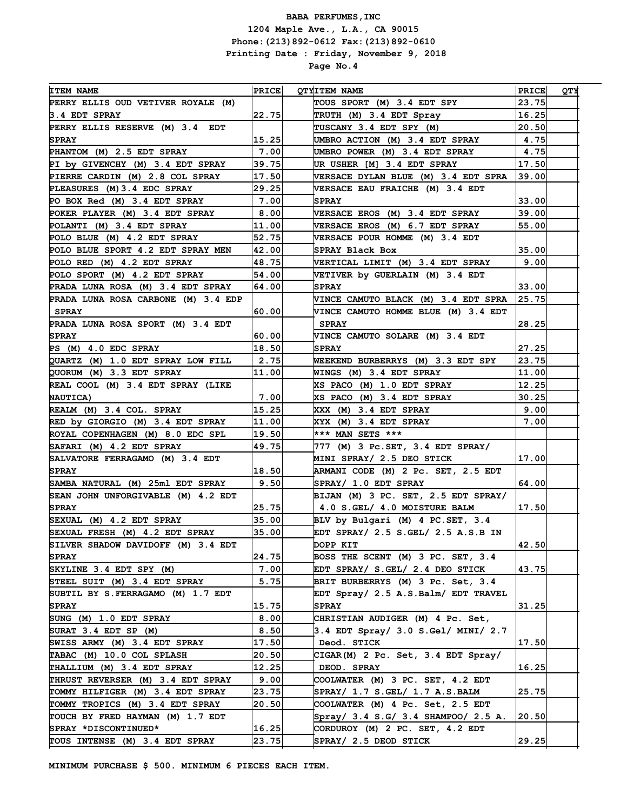J.

| <b>ITEM NAME</b>                    | <b>PRICE</b> | QTYITEM NAME                              | <b>PRICE</b> | <b>QTY</b> |
|-------------------------------------|--------------|-------------------------------------------|--------------|------------|
| PERRY ELLIS OUD VETIVER ROYALE (M)  |              | TOUS SPORT (M) 3.4 EDT SPY                | 23.75        |            |
| 3.4 EDT SPRAY                       | 22.75        | TRUTH (M) 3.4 EDT Spray                   | 16.25        |            |
| PERRY ELLIS RESERVE (M) 3.4 EDT     |              | TUSCANY 3.4 EDT SPY (M)                   | 20.50        |            |
| <b>SPRAY</b>                        | 15.25        | UMBRO ACTION (M) 3.4 EDT SPRAY            | 4.75         |            |
| PHANTOM (M) 2.5 EDT SPRAY           | 7.00         | UMBRO POWER (M) 3.4 EDT SPRAY             | 4.75         |            |
| PI by GIVENCHY (M) 3.4 EDT SPRAY    | 39.75        | UR USHER [M] 3.4 EDT SPRAY                | 17.50        |            |
| PIERRE CARDIN (M) 2.8 COL SPRAY     | 17.50        | VERSACE DYLAN BLUE (M) 3.4 EDT SPRA       | 39.00        |            |
| PLEASURES (M) 3.4 EDC SPRAY         | 29.25        | <b>VERSACE EAU FRAICHE (M) 3.4 EDT</b>    |              |            |
| PO BOX Red (M) 3.4 EDT SPRAY        | 7.00         | <b>SPRAY</b>                              | 33.00        |            |
| POKER PLAYER (M) 3.4 EDT SPRAY      | 8.00         | VERSACE EROS (M) 3.4 EDT SPRAY            | 39.00        |            |
| POLANTI (M) 3.4 EDT SPRAY           | 11.00        | VERSACE EROS (M) 6.7 EDT SPRAY            | 55.00        |            |
| POLO BLUE (M) 4.2 EDT SPRAY         | 52.75        | VERSACE POUR HOMME (M) 3.4 EDT            |              |            |
| POLO BLUE SPORT 4.2 EDT SPRAY MEN   | 42.00        | SPRAY Black Box                           | 35.00        |            |
| POLO RED (M) 4.2 EDT SPRAY          | 48.75        | VERTICAL LIMIT (M) 3.4 EDT SPRAY          | 9.00         |            |
| POLO SPORT (M) 4.2 EDT SPRAY        | 54.00        | VETIVER by GUERLAIN (M) 3.4 EDT           |              |            |
| PRADA LUNA ROSA (M) 3.4 EDT SPRAY   | 64.00        | <b>SPRAY</b>                              | 33.00        |            |
| PRADA LUNA ROSA CARBONE (M) 3.4 EDP |              | VINCE CAMUTO BLACK (M) 3.4 EDT SPRA       | 25.75        |            |
| <b>SPRAY</b>                        | 60.00        | VINCE CAMUTO HOMME BLUE (M) 3.4 EDT       |              |            |
| PRADA LUNA ROSA SPORT (M) 3.4 EDT   |              | <b>SPRAY</b>                              | 28.25        |            |
| <b>SPRAY</b>                        | 60.00        | VINCE CAMUTO SOLARE (M) 3.4 EDT           |              |            |
| $PS$ (M) $4.0$ EDC SPRAY            | 18.50        | <b>SPRAY</b>                              | 27.25        |            |
| QUARTZ (M) 1.0 EDT SPRAY LOW FILL   | 2.75         | WEEKEND BURBERRYS (M) 3.3 EDT SPY         | 23.75        |            |
| QUORUM (M) 3.3 EDT SPRAY            | 11.00        | WINGS (M) 3.4 EDT SPRAY                   | 11.00        |            |
| REAL COOL (M) 3.4 EDT SPRAY (LIKE   |              | XS PACO (M) 1.0 EDT SPRAY                 | 12.25        |            |
| <b>NAUTICA)</b>                     | 7.00         | XS PACO (M) 3.4 EDT SPRAY                 | 30.25        |            |
| REALM (M) 3.4 COL. SPRAY            | 15.25        | XXX (M) 3.4 EDT SPRAY                     | 9.00         |            |
| RED by GIORGIO (M) 3.4 EDT SPRAY    | 11.00        | XYX (M) 3.4 EDT SPRAY                     | 7.00         |            |
| ROYAL COPENHAGEN (M) 8.0 EDC SPL    | 19.50        | *** MAN SETS ***                          |              |            |
| SAFARI (M) 4.2 EDT SPRAY            | 49.75        | 777 (M) 3 Pc.SET, 3.4 EDT SPRAY/          |              |            |
| SALVATORE FERRAGAMO (M) 3.4 EDT     |              | MINI SPRAY/ 2.5 DEO STICK                 | 17.00        |            |
| <b>SPRAY</b>                        | 18.50        | ARMANI CODE (M) 2 Pc. SET, 2.5 EDT        |              |            |
| SAMBA NATURAL (M) 25ml EDT SPRAY    | 9.50         | SPRAY/ 1.0 EDT SPRAY                      | 64.00        |            |
| SEAN JOHN UNFORGIVABLE (M) 4.2 EDT  |              | BIJAN (M) 3 PC. SET, 2.5 EDT SPRAY/       |              |            |
| <b>SPRAY</b>                        | 25.75        | 4.0 S.GEL/ 4.0 MOISTURE BALM              | 17.50        |            |
| SEXUAL (M) 4.2 EDT SPRAY            | 35.00        | BLV by Bulgari (M) 4 PC.SET, 3.4          |              |            |
| SEXUAL FRESH (M) 4.2 EDT SPRAY      | 35.00        | EDT SPRAY/ 2.5 S.GEL/ 2.5 A.S.B IN        |              |            |
| SILVER SHADOW DAVIDOFF (M) 3.4 EDT  |              | DOPP KIT                                  | 42.50        |            |
| <b>SPRAY</b>                        | 24.75        | BOSS THE SCENT (M) 3 PC. SET, 3.4         |              |            |
| SKYLINE 3.4 EDT SPY (M)             | 7.00         | EDT SPRAY/ S.GEL/ 2.4 DEO STICK           | 43.75        |            |
| STEEL SUIT (M) 3.4 EDT SPRAY        | 5.75         | BRIT BURBERRYS (M) 3 Pc. Set, 3.4         |              |            |
| SUBTIL BY S. FERRAGAMO (M) 1.7 EDT  |              | EDT Spray/ 2.5 A.S.Balm/ EDT TRAVEL       |              |            |
| <b>SPRAY</b>                        | 15.75        | <b>SPRAY</b>                              | 31.25        |            |
| SUNG (M) 1.0 EDT SPRAY              | 8.00         | CHRISTIAN AUDIGER (M) 4 Pc. Set,          |              |            |
| SURAT 3.4 EDT SP (M)                | 8.50         | 3.4 EDT Spray/ 3.0 S.Gel/ MINI/ 2.7       |              |            |
| SWISS ARMY (M) 3.4 EDT SPRAY        | 17.50        | Deod. STICK                               | 17.50        |            |
| TABAC (M) 10.0 COL SPLASH           | 20.50        | CIGAR(M) 2 Pc. Set, 3.4 EDT Spray/        |              |            |
| THALLIUM (M) 3.4 EDT SPRAY          | 12.25        | DEOD. SPRAY                               | 16.25        |            |
| THRUST REVERSER (M) 3.4 EDT SPRAY   | 9.00         | COOLWATER (M) 3 PC. SET, 4.2 EDT          |              |            |
| TOMMY HILFIGER (M) 3.4 EDT SPRAY    | 23.75        | $\texttt{SPRAY}/$ 1.7 S.GEL/ 1.7 A.S.BALM | 25.75        |            |
| TOMMY TROPICS (M) 3.4 EDT SPRAY     | 20.50        | COOLWATER (M) 4 Pc. Set, 2.5 EDT          |              |            |
| TOUCH BY FRED HAYMAN (M) 1.7 EDT    |              | Spray/ 3.4 S.G/ 3.4 SHAMPOO/ 2.5 A.       | 20.50        |            |
| SPRAY *DISCONTINUED*                | 16.25        | CORDUROY (M) 2 PC. SET, 4.2 EDT           |              |            |
| TOUS INTENSE (M) 3.4 EDT SPRAY      | 23.75        | SPRAY/ 2.5 DEOD STICK                     | 29.25        |            |

J.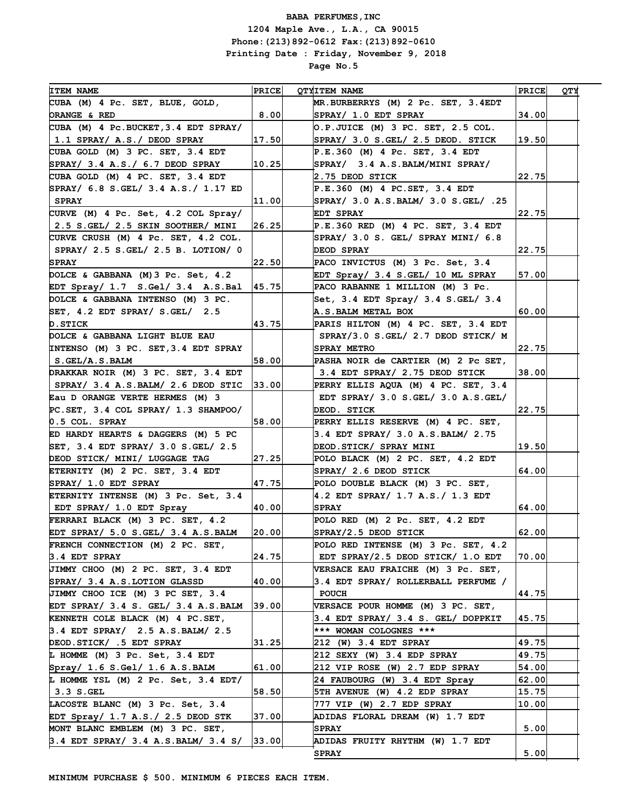| <b>ITEM NAME</b>                        | <b>PRICE</b> | <b>QTYITEM NAME</b>                      | <b>PRICE</b> | YTQ |
|-----------------------------------------|--------------|------------------------------------------|--------------|-----|
| CUBA (M) 4 Pc. SET, BLUE, GOLD,         |              | MR. BURBERRYS (M) 2 Pc. SET, 3.4EDT      |              |     |
| ORANGE & RED                            | 8.00         | SPRAY/ 1.0 EDT SPRAY                     | 34.00        |     |
| CUBA (M) 4 Pc. BUCKET, 3.4 EDT SPRAY/   |              | O.P.JUICE (M) 3 PC. SET, 2.5 COL.        |              |     |
| $ 1.1$ SPRAY/ A.S./ DEOD SPRAY          | 17.50        | SPRAY/ 3.0 S.GEL/ 2.5 DEOD. STICK        | 19.50        |     |
| CUBA GOLD (M) 3 PC. SET, 3.4 EDT        |              | $P.E.360$ (M) 4 Pc. SET, 3.4 EDT         |              |     |
| SPRAY/ 3.4 A.S./ 6.7 DEOD SPRAY         | 10.25        | SPRAY/ 3.4 A.S. BALM/MINI SPRAY/         |              |     |
| CUBA GOLD (M) 4 PC. SET, 3.4 EDT        |              | 2.75 DEOD STICK                          | 22.75        |     |
| SPRAY/ 6.8 S.GEL/ 3.4 A.S./ 1.17 ED     |              | $P.E.360$ (M) 4 PC.SET, 3.4 EDT          |              |     |
| <b>SPRAY</b>                            | 11.00        | SPRAY/ 3.0 A.S.BALM/ 3.0 S.GEL/ .25      |              |     |
| CURVE (M) 4 Pc. Set, 4.2 COL Spray/     |              | EDT SPRAY                                | 22.75        |     |
| 2.5 S.GEL/ 2.5 SKIN SOOTHER/ MINI       | 26.25        | P.E.360 RED (M) 4 PC. SET, 3.4 EDT       |              |     |
| CURVE CRUSH (M) 4 Pc. SET, 4.2 COL.     |              | SPRAY/ 3.0 S. GEL/ SPRAY MINI/ 6.8       |              |     |
| SPRAY/ $2.5$ S. GEL/ $2.5$ B. LOTION/ 0 |              | DEOD SPRAY                               | 22.75        |     |
| <b>SPRAY</b>                            | 22.50        | PACO INVICTUS (M) 3 Pc. Set, 3.4         |              |     |
| DOLCE & GABBANA (M) 3 Pc. Set, 4.2      |              | EDT Spray/ 3.4 S.GEL/ 10 ML SPRAY        | 57.00        |     |
| EDT Spray/ 1.7 S.Gel/ 3.4 A.S.Bal       | 45.75        | PACO RABANNE 1 MILLION (M) 3 Pc.         |              |     |
| DOLCE & GABBANA INTENSO (M) 3 PC.       |              | Set, $3.4$ EDT Spray/ $3.4$ S.GEL/ $3.4$ |              |     |
| SET, 4.2 EDT SPRAY / S.GEL / 2.5        |              | A.S. BALM METAL BOX                      | 60.00        |     |
| <b>D.STICK</b>                          | 43.75        | PARIS HILTON (M) 4 PC. SET, 3.4 EDT      |              |     |
| DOLCE & GABBANA LIGHT BLUE EAU          |              | SPRAY/3.0 S.GEL/ 2.7 DEOD STICK/ M       |              |     |
| INTENSO (M) 3 PC. SET, 3.4 EDT SPRAY    |              | <b>SPRAY METRO</b>                       | 22.75        |     |
| $ $ S.GEL/A.S.BALM                      | 58.00        | PASHA NOIR de CARTIER (M) 2 Pc SET,      |              |     |
| DRAKKAR NOIR (M) 3 PC. SET, 3.4 EDT     |              | 3.4 EDT SPRAY/ 2.75 DEOD STICK           | 38.00        |     |
| SPRAY/ 3.4 A.S. BALM/ 2.6 DEOD STIC     | 33.00        | PERRY ELLIS AQUA (M) 4 PC. SET, 3.4      |              |     |
| Eau D ORANGE VERTE HERMES (M) 3         |              | EDT SPRAY/ 3.0 S.GEL/ 3.0 A.S.GEL/       |              |     |
| $PC. SET$ , 3.4 COL SPRAY/ 1.3 SHAMPOO/ |              | DEOD. STICK                              | 22.75        |     |
| $0.5$ COL. SPRAY                        | 58.00        | PERRY ELLIS RESERVE (M) 4 PC. SET,       |              |     |
| ED HARDY HEARTS & DAGGERS (M) 5 PC      |              | 3.4 EDT SPRAY/ 3.0 A.S. BALM/ 2.75       |              |     |
| SET, $3.4$ EDT SPRAY/ $3.0$ S.GEL/ 2.5  |              | DEOD.STICK/ SPRAY MINI                   | 19.50        |     |
| DEOD STICK/ MINI/ LUGGAGE TAG           | 27.25        | POLO BLACK (M) 2 PC. SET, 4.2 EDT        |              |     |
| ETERNITY (M) 2 PC. SET, 3.4 EDT         |              | SPRAY/ 2.6 DEOD STICK                    | 64.00        |     |
| SPRAY/ 1.0 EDT SPRAY                    | 47.75        | POLO DOUBLE BLACK (M) 3 PC. SET,         |              |     |
| ETERNITY INTENSE (M) 3 Pc. Set, 3.4     |              | 4.2 EDT SPRAY/ 1.7 A.S./ 1.3 EDT         |              |     |
| EDT SPRAY/ 1.0 EDT Spray                | 40.00        | <b>SPRAY</b>                             | 64.00        |     |
| FERRARI BLACK (M) 3 PC. SET, 4.2        |              | POLO RED (M) 2 Pc. SET, 4.2 EDT          |              |     |
| EDT SPRAY/ 5.0 S.GEL/ 3.4 A.S.BALM      | 20.00        | SPRAY/2.5 DEOD STICK                     | 62.00        |     |
| FRENCH CONNECTION (M) 2 PC. SET,        |              | POLO RED INTENSE (M) 3 Pc. SET, 4.2      |              |     |
| 3.4 EDT SPRAY                           | 24.75        | EDT SPRAY/2.5 DEOD STICK/ 1.0 EDT        | 70.00        |     |
| JIMMY CHOO (M) 2 PC. SET, 3.4 EDT       |              | VERSACE EAU FRAICHE (M) 3 Pc. SET,       |              |     |
| SPRAY/ 3.4 A.S.LOTION GLASSD            | 40.00        | 3.4 EDT SPRAY/ ROLLERBALL PERFUME /      |              |     |
| JIMMY CHOO ICE (M) 3 PC SET, 3.4        |              | <b>POUCH</b>                             | 44.75        |     |
| EDT SPRAY/ 3.4 S. GEL/ 3.4 A.S.BALM     | 39.00        | VERSACE POUR HOMME (M) 3 PC. SET,        |              |     |
| KENNETH COLE BLACK (M) 4 PC.SET,        |              | 3.4 EDT SPRAY/ 3.4 S. GEL/ DOPPKIT       | 45.75        |     |
| 3.4 EDT SPRAY/ 2.5 A.S. BALM/ 2.5       |              | *** WOMAN COLOGNES ***                   |              |     |
| DEOD.STICK/ .5 EDT SPRAY                | 31.25        | 212 (W) 3.4 EDT SPRAY                    | 49.75        |     |
| L HOMME (M) 3 Pc. Set, 3.4 EDT          |              | $ 212$ SEXY (W) 3.4 EDP SPRAY            | 49.75        |     |
| Spray/ 1.6 S.Gel/ 1.6 A.S.BAIM          | 61.00        | 212 VIP ROSE (W) 2.7 EDP SPRAY           | 54.00        |     |
| L HOMME YSL (M) 2 Pc. Set, 3.4 EDT/     |              | 24 FAUBOURG (W) 3.4 EDT Spray            | 62.00        |     |
| 3.3 S.GEL                               | 58.50        | 5TH AVENUE (W) 4.2 EDP SPRAY             | 15.75        |     |
| LACOSTE BLANC (M) 3 Pc. Set, 3.4        |              | 777 VIP (W) 2.7 EDP SPRAY                | 10.00        |     |
| EDT Spray/ 1.7 A.S./ 2.5 DEOD STK       | 37.00        | ADIDAS FLORAL DREAM (W) 1.7 EDT          |              |     |
| MONT BLANC EMBLEM (M) 3 PC. SET,        |              | <b>SPRAY</b>                             | 5.00         |     |
| $3.4$ EDT SPRAY/ 3.4 A.S. BALM/ 3.4 S/  | 33.00        | ADIDAS FRUITY RHYTHM (W) 1.7 EDT         |              |     |
|                                         |              | <b>SPRAY</b>                             | 5.00         |     |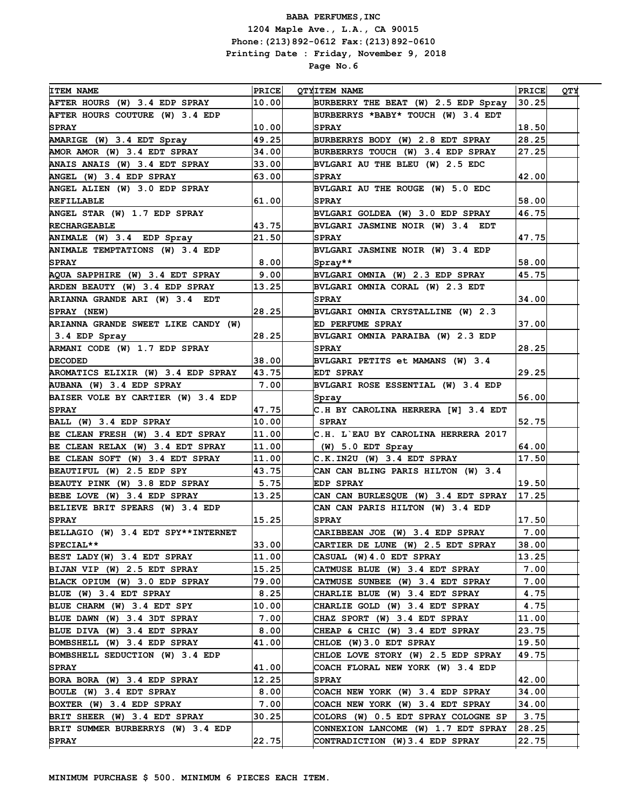| <b>ITEM NAME</b>                    | <b>PRICE</b> | <b>OTYITEM NAME</b>                   | <b>PRICE</b> | <b>QTY</b> |
|-------------------------------------|--------------|---------------------------------------|--------------|------------|
| AFTER HOURS (W) 3.4 EDP SPRAY       | 10.00        | BURBERRY THE BEAT (W) 2.5 EDP Spray   | 30.25        |            |
| AFTER HOURS COUTURE (W) 3.4 EDP     |              | BURBERRYS *BABY* TOUCH (W) 3.4 EDT    |              |            |
| <b>SPRAY</b>                        | 10.00        | <b>SPRAY</b>                          | 18.50        |            |
| AMARIGE (W) 3.4 EDT Spray           | 49.25        | BURBERRYS BODY (W) 2.8 EDT SPRAY      | 28.25        |            |
| AMOR AMOR (W) 3.4 EDT SPRAY         | 34.00        | BURBERRYS TOUCH (W) 3.4 EDP SPRAY     | 27.25        |            |
| ANAIS ANAIS (W) 3.4 EDT SPRAY       | 33.00        | BVLGARI AU THE BLEU (W) 2.5 EDC       |              |            |
| ANGEL (W) 3.4 EDP SPRAY             | 63.00        | <b>SPRAY</b>                          | 42.00        |            |
| ANGEL ALIEN (W) 3.0 EDP SPRAY       |              | BVLGARI AU THE ROUGE (W) 5.0 EDC      |              |            |
| <b>REFILLABLE</b>                   | 61.00        | <b>SPRAY</b>                          | 58.00        |            |
| ANGEL STAR (W) 1.7 EDP SPRAY        |              | BVLGARI GOLDEA (W) 3.0 EDP SPRAY      | 46.75        |            |
| <b>RECHARGEABLE</b>                 | 43.75        | BVLGARI JASMINE NOIR (W) 3.4 EDT      |              |            |
| ANIMALE (W) 3.4 EDP Spray           | 21.50        | <b>SPRAY</b>                          | 47.75        |            |
| ANIMALE TEMPTATIONS (W) 3.4 EDP     |              | BVLGARI JASMINE NOIR (W) 3.4 EDP      |              |            |
| <b>SPRAY</b>                        | 8.00         | Spray**                               | 58.00        |            |
| AOUA SAPPHIRE (W) 3.4 EDT SPRAY     | 9.001        | BVLGARI OMNIA (W) 2.3 EDP SPRAY       | 45.75        |            |
| ARDEN BEAUTY (W) 3.4 EDP SPRAY      | 13.25        | BVLGARI OMNIA CORAL (W) 2.3 EDT       |              |            |
| ARIANNA GRANDE ARI (W) 3.4 EDT      |              | <b>SPRAY</b>                          | 34.00        |            |
| SPRAY (NEW)                         | 28.25        | BVLGARI OMNIA CRYSTALLINE (W) 2.3     |              |            |
| ARIANNA GRANDE SWEET LIKE CANDY (W) |              | ED PERFUME SPRAY                      | 37.00        |            |
| 3.4 EDP Spray                       | 28.25        | BVLGARI OMNIA PARAIBA (W) 2.3 EDP     |              |            |
| ARMANI CODE (W) 1.7 EDP SPRAY       |              | <b>SPRAY</b>                          | 28.25        |            |
| <b>DECODED</b>                      | 38.00        | BVLGARI PETITS et MAMANS (W) 3.4      |              |            |
| AROMATICS ELIXIR (W) 3.4 EDP SPRAY  | 43.75        | EDT SPRAY                             | 29.25        |            |
| AUBANA (W) 3.4 EDP SPRAY            | 7.00         | BVLGARI ROSE ESSENTIAL (W) 3.4 EDP    |              |            |
| BAISER VOLE BY CARTIER (W) 3.4 EDP  |              | Spray                                 | 56.00        |            |
| <b>SPRAY</b>                        | 47.75        | C.H BY CAROLINA HERRERA [W] 3.4 EDT   |              |            |
| BALL (W) 3.4 EDP SPRAY              | 10.00        | <b>SPRAY</b>                          | 52.75        |            |
| BE CLEAN FRESH (W) 3.4 EDT SPRAY    | 11.00        | C.H. L`EAU BY CAROLINA HERRERA 2017   |              |            |
| BE CLEAN RELAX (W) 3.4 EDT SPRAY    | 11.00        | $(W)$ 5.0 EDT Spray                   | 64.00        |            |
| BE CLEAN SOFT (W) 3.4 EDT SPRAY     | 11.00        | C.K.IN2U (W) 3.4 EDT SPRAY            | 17.50        |            |
| BEAUTIFUL (W) 2.5 EDP SPY           | 43.75        | CAN CAN BLING PARIS HILTON (W) 3.4    |              |            |
| BEAUTY PINK (W) 3.8 EDP SPRAY       | 5.75         | <b>EDP SPRAY</b>                      | 19.50        |            |
| BEBE LOVE (W) 3.4 EDP SPRAY         | 13.25        | CAN CAN BURLESQUE (W) 3.4 EDT SPRAY   | 17.25        |            |
| BELIEVE BRIT SPEARS (W) 3.4 EDP     |              | CAN CAN PARIS HILTON (W) 3.4 EDP      |              |            |
| <b>SPRAY</b>                        | 15.25        | <b>SPRAY</b>                          | 17.50        |            |
| BELLAGIO (W) 3.4 EDT SPY**INTERNET  |              | CARIBBEAN JOE (W) 3.4 EDP SPRAY       | 7.00         |            |
| SPECIAL**                           | 33.00        | CARTIER DE LUNE (W) 2.5 EDT SPRAY     | 38.00        |            |
| BEST LADY (W) 3.4 EDT SPRAY         | 11.00        | CASUAL (W)4.0 EDT SPRAY               | 13.25        |            |
| BIJAN VIP (W) 2.5 EDT SPRAY         | 15.25        | CATMUSE BLUE (W) 3.4 EDT SPRAY        | 7.00         |            |
| BLACK OPIUM (W) 3.0 EDP SPRAY       | 79.00        | CATMUSE SUNBEE (W) 3.4 EDT SPRAY      | 7.00         |            |
| BLUE (W) 3.4 EDT SPRAY              | 8.25         | <b>CHARLIE BLUE (W) 3.4 EDT SPRAY</b> | 4.75         |            |
| BLUE CHARM (W) 3.4 EDT SPY          | 10.00        | CHARLIE GOLD (W) 3.4 EDT SPRAY        | 4.75         |            |
| BLUE DAWN (W) 3.4 3DT SPRAY         | 7.00         | CHAZ SPORT (W) 3.4 EDT SPRAY          | 11.00        |            |
| BLUE DIVA (W) 3.4 EDT SPRAY         | 8.00         | CHEAP & CHIC (W) 3.4 EDT SPRAY        | 23.75        |            |
| BOMBSHELL (W) 3.4 EDP SPRAY         | 41.00        | CHLOE (W)3.0 EDT SPRAY                | 19.50        |            |
| BOMBSHELL SEDUCTION (W) 3.4 EDP     |              | CHLOE LOVE STORY (W) 2.5 EDP SPRAY    | 49.75        |            |
| <b>SPRAY</b>                        | 41.00        | COACH FLORAL NEW YORK (W) 3.4 EDP     |              |            |
| BORA BORA (W) 3.4 EDP SPRAY         | 12.25        | <b>SPRAY</b>                          | 42.00        |            |
| BOULE (W) 3.4 EDT SPRAY             | 8.00         | COACH NEW YORK (W) 3.4 EDP SPRAY      | 34.00        |            |
| BOXTER (W) 3.4 EDP SPRAY            | 7.00         | COACH NEW YORK (W) 3.4 EDT SPRAY      | 34.00        |            |
| BRIT SHEER (W) 3.4 EDT SPRAY        | 30.25        | COLORS (W) 0.5 EDT SPRAY COLOGNE SP   | 3.75         |            |
| BRIT SUMMER BURBERRYS (W) 3.4 EDP   |              | CONNEXION LANCOME (W) 1.7 EDT SPRAY   | 28.25        |            |
| <b>SPRAY</b>                        | 22.75        | CONTRADICTION (W) 3.4 EDP SPRAY       | 22.75        |            |
|                                     |              |                                       |              |            |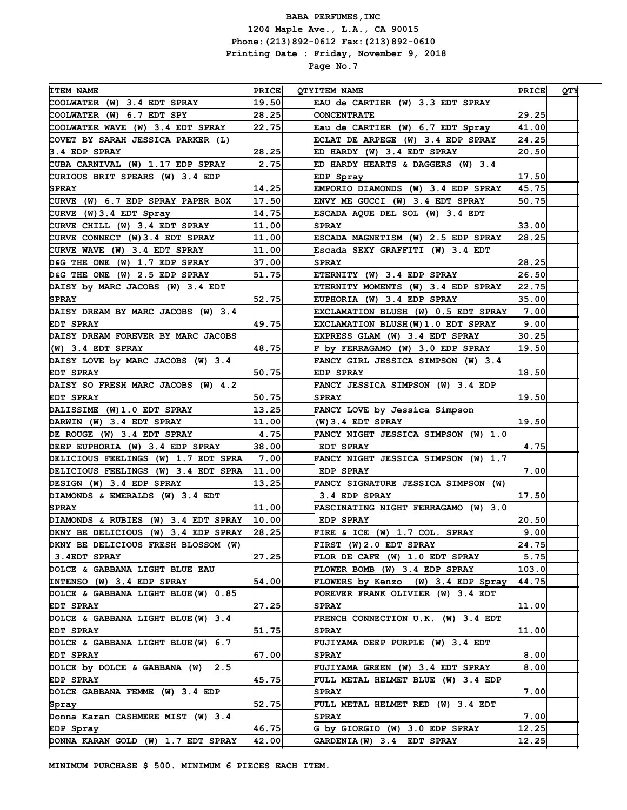| <b>ITEM NAME</b>                    |                       |                                          |                |     |
|-------------------------------------|-----------------------|------------------------------------------|----------------|-----|
|                                     | <b>PRICE</b><br>19.50 | <b>QTYITEM NAME</b>                      | <b>PRICE</b>   | YTQ |
| COOLWATER (W) 3.4 EDT SPRAY         |                       | EAU de CARTIER (W) 3.3 EDT SPRAY         |                |     |
| COOLWATER (W) 6.7 EDT SPY           | 28.25                 | <b>CONCENTRATE</b>                       | 29.25<br>41.00 |     |
| COOLWATER WAVE (W) 3.4 EDT SPRAY    | 22.75                 | Eau de CARTIER (W) 6.7 EDT Spray         |                |     |
| COVET BY SARAH JESSICA PARKER (L)   |                       | ECLAT DE ARPEGE (W) 3.4 EDP SPRAY        | 24.25          |     |
| 3.4 EDP SPRAY                       | 28.25                 | ED HARDY (W) 3.4 EDT SPRAY               | 20.50          |     |
| CUBA CARNIVAL (W) 1.17 EDP SPRAY    | 2.75                  | ED HARDY HEARTS & DAGGERS (W) 3.4        |                |     |
| CURIOUS BRIT SPEARS (W) 3.4 EDP     |                       | EDP Spray                                | 17.50          |     |
| <b>SPRAY</b>                        | 14.25                 | EMPORIO DIAMONDS (W) 3.4 EDP SPRAY       | 45.75          |     |
| CURVE (W) 6.7 EDP SPRAY PAPER BOX   | 17.50                 | ENVY ME GUCCI (W) 3.4 EDT SPRAY          | 50.75          |     |
| CURVE (W) 3.4 EDT Spray             | 14.75                 | ESCADA AQUE DEL SOL (W) 3.4 EDT          |                |     |
| CURVE CHILL (W) 3.4 EDT SPRAY       | 11.00                 | <b>SPRAY</b>                             | 33.00          |     |
| CURVE CONNECT (W) 3.4 EDT SPRAY     | 11.00                 | ESCADA MAGNETISM (W) 2.5 EDP SPRAY       | 28.25          |     |
| CURVE WAVE (W) 3.4 EDT SPRAY        | 11.00                 | Escada SEXY GRAFFITI (W) 3.4 EDT         |                |     |
| D&G THE ONE (W) 1.7 EDP SPRAY       | 37.00                 | <b>SPRAY</b>                             | 28.25          |     |
| D&G THE ONE (W) 2.5 EDP SPRAY       | 51.75                 | ETERNITY (W) 3.4 EDP SPRAY               | 26.50          |     |
| DAISY by MARC JACOBS (W) 3.4 EDT    |                       | ETERNITY MOMENTS (W) 3.4 EDP SPRAY       | 22.75          |     |
| <b>SPRAY</b>                        | 52.75                 | EUPHORIA (W) 3.4 EDP SPRAY               | 35.00          |     |
| DAISY DREAM BY MARC JACOBS (W) 3.4  |                       | EXCLAMATION BLUSH (W) 0.5 EDT SPRAY      | 7.00           |     |
| EDT SPRAY                           | 49.75                 | <b>EXCLAMATION BLUSH(W)1.0 EDT SPRAY</b> | 9.00           |     |
| DAISY DREAM FOREVER BY MARC JACOBS  |                       | EXPRESS GLAM (W) 3.4 EDT SPRAY           | 30.25          |     |
| $ (W)$ 3.4 EDT SPRAY                | 48.75                 | F by FERRAGAMO (W) 3.0 EDP SPRAY         | 19.50          |     |
| DAISY LOVE by MARC JACOBS (W) 3.4   |                       | FANCY GIRL JESSICA SIMPSON (W) 3.4       |                |     |
| EDT SPRAY                           | 50.75                 | <b>EDP SPRAY</b>                         | 18.50          |     |
| DAISY SO FRESH MARC JACOBS (W) 4.2  |                       | FANCY JESSICA SIMPSON (W) 3.4 EDP        |                |     |
| <b>EDT SPRAY</b>                    | 50.75                 | <b>SPRAY</b>                             | 19.50          |     |
| DALISSIME (W)1.0 EDT SPRAY          | 13.25                 | FANCY LOVE by Jessica Simpson            |                |     |
| DARWIN (W) 3.4 EDT SPRAY            | 11.00                 | $(W)$ 3.4 EDT SPRAY                      | 19.50          |     |
| DE ROUGE (W) 3.4 EDT SPRAY          | 4.75                  | FANCY NIGHT JESSICA SIMPSON (W) 1.0      |                |     |
| DEEP EUPHORIA (W) 3.4 EDP SPRAY     | 38.00                 | EDT SPRAY                                | 4.75           |     |
| DELICIOUS FEELINGS (W) 1.7 EDT SPRA | 7.00                  | FANCY NIGHT JESSICA SIMPSON (W) 1.7      |                |     |
| DELICIOUS FEELINGS (W) 3.4 EDT SPRA | 11.00                 | EDP SPRAY                                | 7.00           |     |
| DESIGN (W) 3.4 EDP SPRAY            | 13.25                 | FANCY SIGNATURE JESSICA SIMPSON (W)      |                |     |
| DIAMONDS & EMERALDS (W) 3.4 EDT     |                       | 3.4 EDP SPRAY                            | 17.50          |     |
| <b>SPRAY</b>                        | 11.00                 | FASCINATING NIGHT FERRAGAMO (W) 3.0      |                |     |
| DIAMONDS & RUBIES (W) 3.4 EDT SPRAY | 10.00                 | EDP SPRAY                                | 20.50          |     |
| DKNY BE DELICIOUS (W) 3.4 EDP SPRAY | 28.25                 | FIRE & ICE (W) 1.7 COL. SPRAY            | 9.00           |     |
| DKNY BE DELICIOUS FRESH BLOSSOM (W) |                       | FIRST (W) 2.0 EDT SPRAY                  | 24.75          |     |
| 3.4EDT SPRAY                        | 27.25                 | FLOR DE CAFE (W) 1.0 EDT SPRAY           | 5.75           |     |
| DOLCE & GABBANA LIGHT BLUE EAU      |                       | FLOWER BOMB (W) 3.4 EDP SPRAY            | 103.0          |     |
| INTENSO (W) 3.4 EDP SPRAY           | 54.00                 | FLOWERS by Kenzo (W) 3.4 EDP Spray       | 44.75          |     |
| DOLCE & GABBANA LIGHT BLUE (W) 0.85 |                       | FOREVER FRANK OLIVIER (W) 3.4 EDT        |                |     |
| <b>EDT SPRAY</b>                    | 27.25                 | <b>SPRAY</b>                             | 11.00          |     |
| DOLCE & GABBANA LIGHT BLUE (W) 3.4  |                       | FRENCH CONNECTION U.K. (W) 3.4 EDT       |                |     |
| <b>EDT SPRAY</b>                    | 51.75                 | <b>SPRAY</b>                             | 11.00          |     |
| DOLCE & GABBANA LIGHT BLUE (W) 6.7  |                       | FUJIYAMA DEEP PURPLE (W) 3.4 EDT         |                |     |
| <b>EDT SPRAY</b>                    | 67.00                 | <b>SPRAY</b>                             | 8.00           |     |
| DOLCE by DOLCE & GABBANA (W)<br>2.5 |                       | FUJIYAMA GREEN (W) 3.4 EDT SPRAY         | 8.00           |     |
| <b>EDP SPRAY</b>                    | 45.75                 | FULL METAL HELMET BLUE (W) 3.4 EDP       |                |     |
| DOLCE GABBANA FEMME (W) 3.4 EDP     |                       | <b>SPRAY</b>                             | 7.00           |     |
| Spray                               | 52.75                 | FULL METAL HELMET RED (W) 3.4 EDT        |                |     |
| Donna Karan CASHMERE MIST (W) 3.4   |                       | <b>SPRAY</b>                             | 7.00           |     |
| EDP Spray                           | 46.75                 | G by GIORGIO (W) 3.0 EDP SPRAY           | 12.25          |     |
| DONNA KARAN GOLD (W) 1.7 EDT SPRAY  | 42.00                 | GARDENIA (W) 3.4 EDT SPRAY               | 12.25          |     |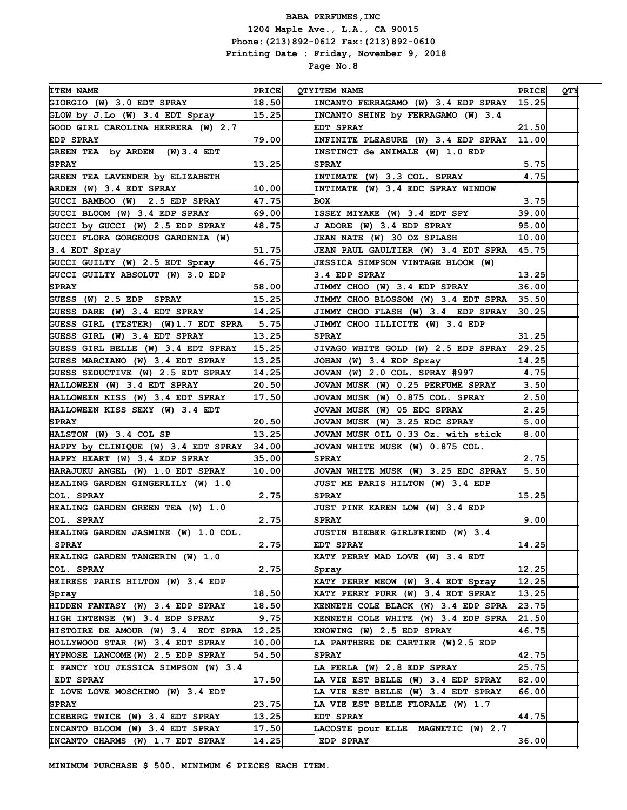| <b>ITEM NAME</b>                                 | <b>PRICE</b>            | <b>QTYITEM NAME</b>                        | <b>PRICE</b> | QTY |
|--------------------------------------------------|-------------------------|--------------------------------------------|--------------|-----|
| GIORGIO (W) 3.0 EDT SPRAY                        | 18.50                   | INCANTO FERRAGAMO (W) 3.4 EDP SPRAY        | 15.25        |     |
| GLOW by J.Lo (W) 3.4 EDT Spray                   | $\vert 15$ . 25 $\vert$ | INCANTO SHINE by FERRAGAMO (W) 3.4         |              |     |
| GOOD GIRL CAROLINA HERRERA (W) 2.7               |                         | <b>EDT SPRAY</b>                           | 21.50        |     |
| <b>EDP SPRAY</b>                                 | 79.00                   | INFINITE PLEASURE (W) 3.4 EDP SPRAY        | 11.00        |     |
| GREEN TEA by ARDEN (W) 3.4 EDT                   |                         | INSTINCT de ANIMALE (W) 1.0 EDP            |              |     |
| <b>SPRAY</b>                                     | 13.25                   | <b>SPRAY</b>                               | 5.75         |     |
| GREEN TEA LAVENDER by ELIZABETH                  |                         | INTIMATE (W) 3.3 COL. SPRAY                | 4.75         |     |
| ARDEN (W) 3.4 EDT SPRAY                          | 10.00                   | INTIMATE (W) 3.4 EDC SPRAY WINDOW          |              |     |
| GUCCI BAMBOO (W) 2.5 EDP SPRAY                   | 47.75                   | BOX                                        | 3.75         |     |
| GUCCI BLOOM (W) 3.4 EDP SPRAY                    | 69.00                   | ISSEY MIYAKE (W) 3.4 EDT SPY               | 39.00        |     |
| GUCCI by GUCCI (W) 2.5 EDP SPRAY                 | 48.75                   | J ADORE (W) 3.4 EDP SPRAY                  | 95.00        |     |
| GUCCI FLORA GORGEOUS GARDENIA (W)                |                         | JEAN NATE (W) 30 OZ SPLASH                 | 10.00        |     |
| 3.4 EDT Spray                                    | 51.75                   | <b>JEAN PAUL GAULTIER (W) 3.4 EDT SPRA</b> | 45.75        |     |
| GUCCI GUILTY (W) 2.5 EDT Spray                   | 46.75                   | <b>JESSICA SIMPSON VINTAGE BLOOM (W)</b>   |              |     |
| GUCCI GUILTY ABSOLUT (W) 3.0 EDP                 |                         | 3.4 EDP SPRAY                              | 13.25        |     |
| <b>SPRAY</b>                                     | 58.00                   | <b>JIMMY CHOO (W) 3.4 EDP SPRAY</b>        | 36.00        |     |
| GUESS (W) 2.5 EDP SPRAY                          | 15.25                   | JIMMY CHOO BLOSSOM (W) 3.4 EDT SPRA        | 35.50        |     |
| GUESS DARE (W) 3.4 EDT SPRAY                     | 14.25                   | JIMMY CHOO FLASH (W) 3.4 EDP SPRAY         | 30.25        |     |
| GUESS GIRL (TESTER) (W)1.7 EDT SPRA              | 5.75                    | JIMMY CHOO ILLICITE (W) 3.4 EDP            |              |     |
| GUESS GIRL (W) 3.4 EDT SPRAY                     | 13.25                   | <b>SPRAY</b>                               | 31.25        |     |
| GUESS GIRL BELLE (W) 3.4 EDT SPRAY               | 15.25                   | JIVAGO WHITE GOLD (W) 2.5 EDP SPRAY        | 29.25        |     |
| GUESS MARCIANO (W) 3.4 EDT SPRAY                 | 13.25                   | JOHAN (W) 3.4 EDP Spray                    | 14.25        |     |
| GUESS SEDUCTIVE (W) 2.5 EDT SPRAY                | 14.25                   | JOVAN (W) 2.0 COL. SPRAY #997              | 4.75         |     |
| <b>HALLOWEEN (W) 3.4 EDT SPRAY</b>               | 20.50                   | JOVAN MUSK (W) 0.25 PERFUME SPRAY          | 3.50         |     |
| <b>HALLOWEEN KISS (W) 3.4 EDT SPRAY</b>          | 17.50                   | JOVAN MUSK (W) 0.875 COL. SPRAY            | 2.50         |     |
| <b>HALLOWEEN KISS SEXY (W) 3.4 EDT</b>           |                         | JOVAN MUSK (W) 05 EDC SPRAY                | 2.25         |     |
| <b>SPRAY</b>                                     | 20.50                   | JOVAN MUSK (W) 3.25 EDC SPRAY              | 5.00         |     |
| HALSTON (W) 3.4 COL SP                           | 13.25                   | JOVAN MUSK OIL 0.33 Oz. with stick         | 8.00         |     |
| HAPPY by CLINIQUE (W) 3.4 EDT SPRAY              | 34.00                   | JOVAN WHITE MUSK (W) 0.875 COL.            |              |     |
| HAPPY HEART (W) 3.4 EDP SPRAY                    | 35.00                   | <b>SPRAY</b>                               | 2.75         |     |
| HARAJUKU ANGEL (W) 1.0 EDT SPRAY                 | 10.00                   | JOVAN WHITE MUSK (W) 3.25 EDC SPRAY        | 5.50         |     |
| HEALING GARDEN GINGERLILY (W) 1.0                |                         | <b>JUST ME PARIS HILTON (W) 3.4 EDP</b>    |              |     |
| COL. SPRAY                                       | 2.75                    | <b>SPRAY</b>                               | 15.25        |     |
| <b>HEALING GARDEN GREEN TEA (W) 1.0</b>          |                         | <b>JUST PINK KAREN LOW (W) 3.4 EDP</b>     |              |     |
| COL. SPRAY                                       | 2.75                    | <b>SPRAY</b>                               | 9.00         |     |
| HEALING GARDEN JASMINE (W) 1.0 COL.              |                         | <b>JUSTIN BIEBER GIRLFRIEND (W) 3.4</b>    |              |     |
| <b>SPRAY</b>                                     | 2.75                    | <b>EDT SPRAY</b>                           | 14.25        |     |
| <b>HEALING GARDEN TANGERIN (W) 1.0</b>           |                         | KATY PERRY MAD LOVE (W) 3.4 EDT            |              |     |
| COL. SPRAY                                       | 2.75                    |                                            | 12.25        |     |
| <b>HEIRESS PARIS HILTON (W) 3.4 EDP</b>          |                         | Spray<br>KATY PERRY MEOW (W) 3.4 EDT Spray | 12.25        |     |
|                                                  | 18.50                   | KATY PERRY PURR (W) 3.4 EDT SPRAY          | 13.25        |     |
| Spray<br><b>HIDDEN FANTASY (W) 3.4 EDP SPRAY</b> | 18.50                   | KENNETH COLE BLACK (W) 3.4 EDP SPRA        | 23.75        |     |
| HIGH INTENSE (W) 3.4 EDP SPRAY                   |                         |                                            | 21.50        |     |
|                                                  | 9.75<br>12.25           | KENNETH COLE WHITE (W) 3.4 EDP SPRA        | 46.75        |     |
| HISTOIRE DE AMOUR (W) 3.4 EDT SPRA               |                         | KNOWING (W) 2.5 EDP SPRAY                  |              |     |
| HOLLYWOOD STAR (W) 3.4 EDT SPRAY                 | 10.00                   | LA PANTHERE DE CARTIER (W)2.5 EDP          |              |     |
| HYPNOSE LANCOME (W) 2.5 EDP SPRAY                | 54.50                   | <b>SPRAY</b>                               | 42.75        |     |
| I FANCY YOU JESSICA SIMPSON (W) 3.4              |                         | LA PERLA (W) 2.8 EDP SPRAY                 | 25.75        |     |
| <b>EDT SPRAY</b>                                 | 17.50                   | LA VIE EST BELLE (W) 3.4 EDP SPRAY         | 82.00        |     |
| I LOVE LOVE MOSCHINO (W) 3.4 EDT                 |                         | LA VIE EST BELLE (W) 3.4 EDT SPRAY         | 66.00        |     |
| <b>SPRAY</b>                                     | 23.75                   | LA VIE EST BELLE FLORALE (W) 1.7           |              |     |
| ICEBERG TWICE (W) 3.4 EDT SPRAY                  | 13.25                   | EDT SPRAY                                  | 44.75        |     |
| INCANTO BLOOM (W) 3.4 EDT SPRAY                  | 17.50                   | LACOSTE pour ELLE MAGNETIC (W) 2.7         |              |     |
| INCANTO CHARMS (W) 1.7 EDT SPRAY                 | 14.25                   | EDP SPRAY                                  | 36.00        |     |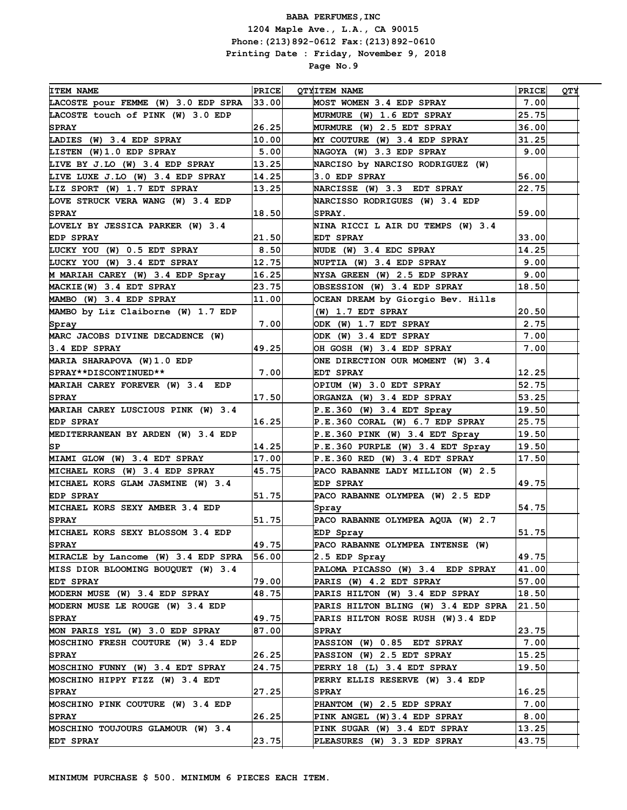| <b>ITEM NAME</b>                                               | PRICE | <b>QTYITEM NAME</b>                                            | PRICE | <b>QTY</b> |
|----------------------------------------------------------------|-------|----------------------------------------------------------------|-------|------------|
| LACOSTE pour FEMME (W) 3.0 EDP SPRA                            | 33.00 | <b>MOST WOMEN 3.4 EDP SPRAY</b>                                | 7.00  |            |
| LACOSTE touch of PINK (W) 3.0 EDP                              |       | MURMURE (W) 1.6 EDT SPRAY                                      | 25.75 |            |
| <b>SPRAY</b>                                                   | 26.25 | MURMURE (W) 2.5 EDT SPRAY                                      | 36.00 |            |
| LADIES (W) 3.4 EDP SPRAY                                       | 10.00 | MY COUTURE (W) 3.4 EDP SPRAY                                   | 31.25 |            |
| LISTEN (W)1.0 EDP SPRAY                                        | 5.00  | NAGOYA (W) 3.3 EDP SPRAY                                       | 9.00  |            |
| LIVE BY J.LO (W) 3.4 EDP SPRAY                                 | 13.25 | NARCISO by NARCISO RODRIGUEZ (W)                               |       |            |
| LIVE LUXE J.LO (W) 3.4 EDP SPRAY                               | 14.25 | 3.0 EDP SPRAY                                                  | 56.00 |            |
| LIZ SPORT (W) 1.7 EDT SPRAY                                    | 13.25 | NARCISSE (W) 3.3 EDT SPRAY                                     | 22.75 |            |
| LOVE STRUCK VERA WANG (W) 3.4 EDP                              |       | NARCISSO RODRIGUES (W) 3.4 EDP                                 |       |            |
| <b>SPRAY</b>                                                   | 18.50 | SPRAY.                                                         | 59.00 |            |
| LOVELY BY JESSICA PARKER (W) 3.4                               |       | NINA RICCI L AIR DU TEMPS (W) 3.4                              |       |            |
| <b>EDP SPRAY</b>                                               | 21.50 | <b>EDT SPRAY</b>                                               | 33.00 |            |
| LUCKY YOU (W) 0.5 EDT SPRAY                                    | 8.50  | NUDE (W) 3.4 EDC SPRAY                                         | 14.25 |            |
| LUCKY YOU (W) 3.4 EDT SPRAY                                    | 12.75 | NUPTIA (W) 3.4 EDP SPRAY                                       | 9.00  |            |
| M MARIAH CAREY (W) 3.4 EDP Spray                               | 16.25 | NYSA GREEN (W) 2.5 EDP SPRAY                                   | 9.00  |            |
| MACKIE (W) 3.4 EDT SPRAY                                       | 23.75 | OBSESSION (W) 3.4 EDP SPRAY                                    | 18.50 |            |
| MAMBO (W) 3.4 EDP SPRAY                                        | 11.00 | OCEAN DREAM by Giorgio Bev. Hills                              |       |            |
| MAMBO by Liz Claiborne (W) 1.7 EDP                             |       | $(W)$ 1.7 EDT SPRAY                                            | 20.50 |            |
| Spray                                                          | 7.00  | ODK (W) 1.7 EDT SPRAY                                          | 2.75  |            |
| MARC JACOBS DIVINE DECADENCE (W)                               |       | ODK (W) 3.4 EDT SPRAY                                          | 7.00  |            |
| 3.4 EDP SPRAY                                                  | 49.25 | OH GOSH (W) 3.4 EDP SPRAY                                      | 7.00  |            |
| MARIA SHARAPOVA (W) 1.0 EDP                                    |       | ONE DIRECTION OUR MOMENT (W) 3.4                               |       |            |
| SPRAY**DISCONTINUED**                                          | 7.00  | EDT SPRAY                                                      | 12.25 |            |
| MARIAH CAREY FOREVER (W) 3.4 EDP                               |       | OPIUM (W) 3.0 EDT SPRAY                                        | 52.75 |            |
| <b>SPRAY</b>                                                   | 17.50 |                                                                | 53.25 |            |
| MARIAH CAREY LUSCIOUS PINK (W) 3.4                             |       | ORGANZA (W) 3.4 EDP SPRAY                                      | 19.50 |            |
| <b>EDP SPRAY</b>                                               | 16.25 | $P.E.360$ (W) 3.4 EDT Spray<br>P.E.360 CORAL (W) 6.7 EDP SPRAY | 25.75 |            |
| MEDITERRANEAN BY ARDEN (W) 3.4 EDP                             |       | $P.E.360$ PINK (W) 3.4 EDT Spray                               | 19.50 |            |
| SP                                                             | 14.25 |                                                                | 19.50 |            |
|                                                                | 17.00 | $P.E.360$ PURPLE (W) 3.4 EDT Spray                             | 17.50 |            |
| MIAMI GLOW (W) 3.4 EDT SPRAY<br>MICHAEL KORS (W) 3.4 EDP SPRAY | 45.75 | P.E.360 RED (W) 3.4 EDT SPRAY                                  |       |            |
|                                                                |       | PACO RABANNE LADY MILLION (W) 2.5                              | 49.75 |            |
| MICHAEL KORS GLAM JASMINE (W) 3.4                              | 51.75 | <b>EDP SPRAY</b>                                               |       |            |
| <b>EDP SPRAY</b>                                               |       | PACO RABANNE OLYMPEA (W) 2.5 EDP                               |       |            |
| MICHAEL KORS SEXY AMBER 3.4 EDP                                |       | Spray<br>PACO RABANNE OLYMPEA AOUA (W) 2.7                     | 54.75 |            |
| <b>SPRAY</b>                                                   | 51.75 |                                                                |       |            |
| MICHAEL KORS SEXY BLOSSOM 3.4 EDP                              |       | EDP Spray                                                      | 51.75 |            |
| <b>SPRAY</b>                                                   | 49.75 | PACO RABANNE OLYMPEA INTENSE (W)                               |       |            |
| MIRACLE by Lancome (W) 3.4 EDP SPRA                            | 56.00 | 2.5 EDP Spray                                                  | 49.75 |            |
| MISS DIOR BLOOMING BOUQUET (W) 3.4                             |       | PALOMA PICASSO (W) 3.4 EDP SPRAY                               | 41.00 |            |
| EDT SPRAY                                                      | 79.00 | <b>PARIS (W) 4.2 EDT SPRAY</b>                                 | 57.00 |            |
| MODERN MUSE (W) 3.4 EDP SPRAY                                  | 48.75 | PARIS HILTON (W) 3.4 EDP SPRAY                                 | 18.50 |            |
| MODERN MUSE LE ROUGE (W) 3.4 EDP                               |       | PARIS HILTON BLING (W) 3.4 EDP SPRA                            | 21.50 |            |
| <b>SPRAY</b>                                                   | 49.75 | PARIS HILTON ROSE RUSH (W) 3.4 EDP                             |       |            |
| MON PARIS YSL (W) 3.0 EDP SPRAY                                | 87.00 | <b>SPRAY</b>                                                   | 23.75 |            |
| MOSCHINO FRESH COUTURE (W) 3.4 EDP                             |       | PASSION (W) 0.85 EDT SPRAY                                     | 7.00  |            |
| <b>SPRAY</b>                                                   | 26.25 | PASSION (W) 2.5 EDT SPRAY                                      | 15.25 |            |
| MOSCHINO FUNNY (W) 3.4 EDT SPRAY                               | 24.75 | PERRY 18 (L) 3.4 EDT SPRAY                                     | 19.50 |            |
| MOSCHINO HIPPY FIZZ (W) 3.4 EDT                                |       | PERRY ELLIS RESERVE (W) 3.4 EDP                                |       |            |
| <b>SPRAY</b>                                                   | 27.25 | <b>SPRAY</b>                                                   | 16.25 |            |
| MOSCHINO PINK COUTURE (W) 3.4 EDP                              |       | PHANTOM (W) 2.5 EDP SPRAY                                      | 7.00  |            |
| <b>SPRAY</b>                                                   | 26.25 | PINK ANGEL (W)3.4 EDP SPRAY                                    | 8.00  |            |
| MOSCHINO TOUJOURS GLAMOUR (W) 3.4                              |       | PINK SUGAR (W) 3.4 EDT SPRAY                                   | 13.25 |            |
| <b>EDT SPRAY</b>                                               | 23.75 | PLEASURES (W) 3.3 EDP SPRAY                                    | 43.75 |            |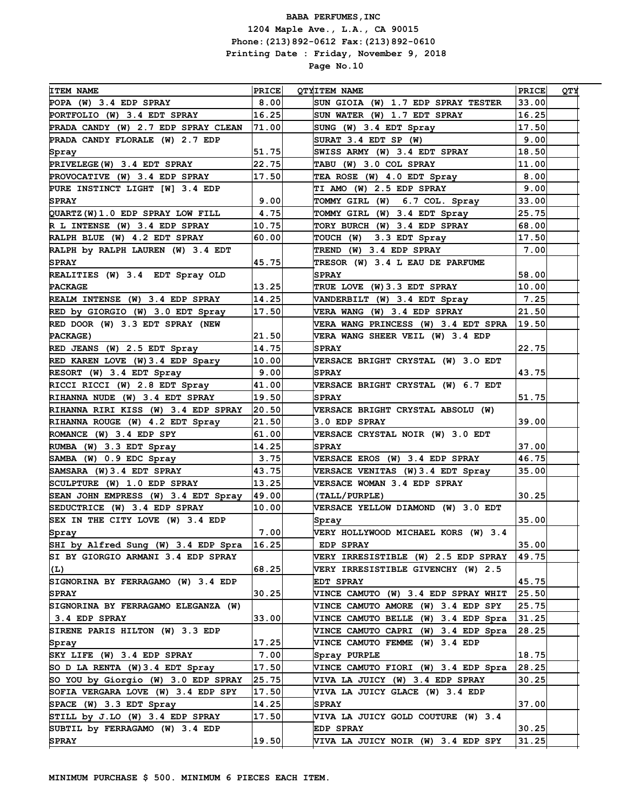| <b>ITEM NAME</b>                    | PRICE | <b>QTYITEM NAME</b>                       | <b>PRICE</b> | УTQ |
|-------------------------------------|-------|-------------------------------------------|--------------|-----|
| POPA (W) 3.4 EDP SPRAY              | 8.00  | SUN GIOIA (W) 1.7 EDP SPRAY TESTER        | 33.00        |     |
| PORTFOLIO (W) 3.4 EDT SPRAY         | 16.25 | SUN WATER (W) 1.7 EDT SPRAY               | 16.25        |     |
| PRADA CANDY (W) 2.7 EDP SPRAY CLEAN | 71.00 | SUNG (W) 3.4 EDT Spray                    | 17.50        |     |
| PRADA CANDY FLORALE (W) 2.7 EDP     |       | SURAT 3.4 EDT SP (W)                      | 9.00         |     |
| Spray                               | 51.75 | SWISS ARMY (W) 3.4 EDT SPRAY              | 18.50        |     |
| PRIVELEGE (W) 3.4 EDT SPRAY         | 22.75 | TABU (W) 3.0 COL SPRAY                    | 11.00        |     |
| PROVOCATIVE (W) 3.4 EDP SPRAY       | 17.50 | TEA ROSE (W) 4.0 EDT Spray                | 8.00         |     |
| PURE INSTINCT LIGHT [W] 3.4 EDP     |       | TI AMO (W) 2.5 EDP SPRAY                  | 9.00         |     |
| <b>SPRAY</b>                        | 9.00  | TOMMY GIRL (W)<br>6.7 COL. Spray          | 33.00        |     |
| QUARTZ (W) 1.0 EDP SPRAY LOW FILL   | 4.75  | TOMMY GIRL (W) 3.4 EDT Spray              | 25.75        |     |
| R L INTENSE (W) 3.4 EDP SPRAY       | 10.75 | TORY BURCH (W) 3.4 EDP SPRAY              | 68.00        |     |
| RALPH BLUE (W) 4.2 EDT SPRAY        | 60.00 | TOUCH (W)<br>3.3 EDT Spray                | 17.50        |     |
| RALPH by RALPH LAUREN (W) 3.4 EDT   |       | TREND (W) 3.4 EDP SPRAY                   | 7.00         |     |
| <b>SPRAY</b>                        | 45.75 | TRESOR (W) 3.4 L EAU DE PARFUME           |              |     |
| REALITIES (W) 3.4 EDT Spray OLD     |       | <b>SPRAY</b>                              | 58.00        |     |
| <b>PACKAGE</b>                      | 13.25 | TRUE LOVE (W) 3.3 EDT SPRAY               | 10.00        |     |
| REALM INTENSE (W) 3.4 EDP SPRAY     | 14.25 | VANDERBILT (W) 3.4 EDT Spray              | 7.25         |     |
| RED by GIORGIO (W) 3.0 EDT Spray    | 17.50 | VERA WANG (W) 3.4 EDP SPRAY               | 21.50        |     |
| RED DOOR (W) 3.3 EDT SPRAY (NEW     |       | VERA WANG PRINCESS (W) 3.4 EDT SPRA       | 19.50        |     |
| PACKAGE)                            | 21.50 | VERA WANG SHEER VEIL (W) 3.4 EDP          |              |     |
| RED JEANS (W) 2.5 EDT Spray         | 14.75 | <b>SPRAY</b>                              | 22.75        |     |
| RED KAREN LOVE (W) 3.4 EDP Spary    | 10.00 | VERSACE BRIGHT CRYSTAL (W) 3.0 EDT        |              |     |
| RESORT (W) 3.4 EDT Spray            | 9.00  | <b>SPRAY</b>                              | 43.75        |     |
| RICCI RICCI (W) 2.8 EDT Spray       | 41.00 | VERSACE BRIGHT CRYSTAL (W) 6.7 EDT        |              |     |
| RIHANNA NUDE (W) 3.4 EDT SPRAY      | 19.50 | <b>SPRAY</b>                              | 51.75        |     |
| RIHANNA RIRI KISS (W) 3.4 EDP SPRAY | 20.50 | VERSACE BRIGHT CRYSTAL ABSOLU (W)         |              |     |
| RIHANNA ROUGE (W) 4.2 EDT Spray     | 21.50 | 3.0 EDP SPRAY                             | 39.00        |     |
| ROMANCE (W) 3.4 EDP SPY             | 61.00 | VERSACE CRYSTAL NOIR (W) 3.0 EDT          |              |     |
| RUMBA (W) 3.3 EDT Spray             | 14.25 | <b>SPRAY</b>                              | 37.00        |     |
| SAMBA (W) 0.9 EDC Spray             | 3.75  | VERSACE EROS (W) 3.4 EDP SPRAY            | 46.75        |     |
| SAMSARA (W)3.4 EDT SPRAY            | 43.75 | VERSACE VENITAS (W) 3.4 EDT Spray         | 35.00        |     |
| SCULPTURE (W) 1.0 EDP SPRAY         | 13.25 | VERSACE WOMAN 3.4 EDP SPRAY               |              |     |
| SEAN JOHN EMPRESS (W) 3.4 EDT Spray | 49.00 | (TALL/PURPLE)                             | 30.25        |     |
| SEDUCTRICE (W) 3.4 EDP SPRAY        | 10.00 | <b>VERSACE YELLOW DIAMOND (W) 3.0 EDT</b> |              |     |
| SEX IN THE CITY LOVE (W) 3.4 EDP    |       | Spray                                     | 35.00        |     |
| Spray                               | 7.00  | VERY HOLLYWOOD MICHAEL KORS (W) 3.4       |              |     |
| SHI by Alfred Sung (W) 3.4 EDP Spra | 16.25 | <b>EDP SPRAY</b>                          | 35.00        |     |
| SI BY GIORGIO ARMANI 3.4 EDP SPRAY  |       | VERY IRRESISTIBLE (W) 2.5 EDP SPRAY       | 49.75        |     |
| (L)                                 | 68.25 | VERY IRRESISTIBLE GIVENCHY (W) 2.5        |              |     |
| SIGNORINA BY FERRAGAMO (W) 3.4 EDP  |       | EDT SPRAY                                 | 45.75        |     |
| <b>SPRAY</b>                        | 30.25 | VINCE CAMUTO (W) 3.4 EDP SPRAY WHIT       | 25.50        |     |
| SIGNORINA BY FERRAGAMO ELEGANZA (W) |       | VINCE CAMUTO AMORE (W) 3.4 EDP SPY        | 25.75        |     |
| $\vert$ 3.4 EDP SPRAY               | 33.00 | VINCE CAMUTO BELLE (W) 3.4 EDP Spra       | 31.25        |     |
| SIRENE PARIS HILTON (W) 3.3 EDP     |       | VINCE CAMUTO CAPRI (W) 3.4 EDP Spra       | 28.25        |     |
| Spray                               | 17.25 | VINCE CAMUTO FEMME (W) 3.4 EDP            |              |     |
| SKY LIFE (W) 3.4 EDP SPRAY          | 7.00  | Spray PURPLE                              | 18.75        |     |
| SO D LA RENTA (W) 3.4 EDT Spray     | 17.50 | VINCE CAMUTO FIORI (W) 3.4 EDP Spra       | 28.25        |     |
| SO YOU by Giorgio (W) 3.0 EDP SPRAY | 25.75 | VIVA LA JUICY (W) 3.4 EDP SPRAY           | 30.25        |     |
| SOFIA VERGARA LOVE (W) 3.4 EDP SPY  | 17.50 | VIVA LA JUICY GLACE (W) 3.4 EDP           |              |     |
| SPACE (W) 3.3 EDT Spray             | 14.25 | <b>SPRAY</b>                              | 37.00        |     |
| STILL by J.LO (W) 3.4 EDP SPRAY     | 17.50 | VIVA LA JUICY GOLD COUTURE (W) 3.4        |              |     |
| SUBTIL by FERRAGAMO (W) 3.4 EDP     |       | <b>EDP SPRAY</b>                          | 30.25        |     |
| <b>SPRAY</b>                        | 19.50 | VIVA LA JUICY NOIR (W) 3.4 EDP SPY        | 31.25        |     |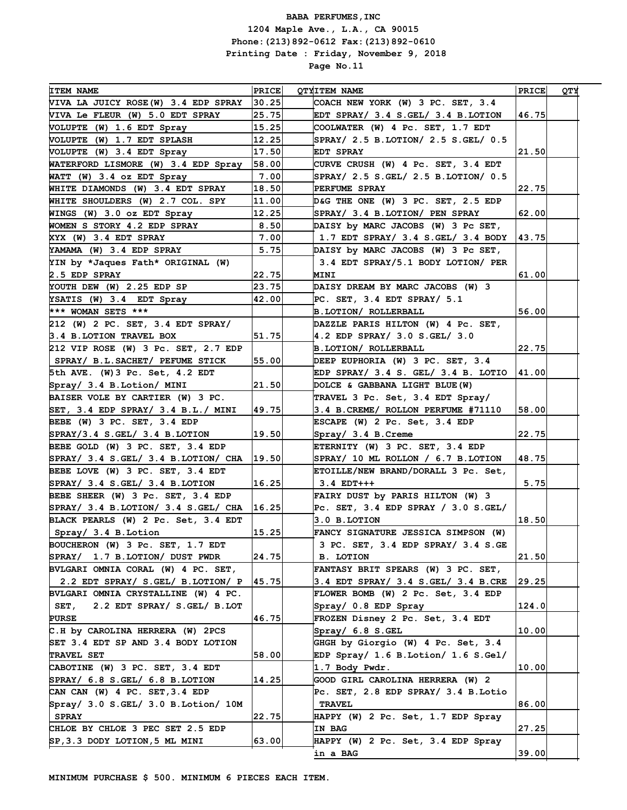| <b>ITEM NAME</b>                       | <b>PRICE</b>   | <b>QTYITEM NAME</b>                      | PRICE | QТY |
|----------------------------------------|----------------|------------------------------------------|-------|-----|
| VIVA LA JUICY ROSE(W) 3.4 EDP SPRAY    | 30.25          | COACH NEW YORK (W) 3 PC. SET, 3.4        |       |     |
| VIVA Le FLEUR (W) 5.0 EDT SPRAY        | 25.75          | EDT SPRAY/ 3.4 S.GEL/ 3.4 B.LOTION       | 46.75 |     |
| VOLUPTE (W) 1.6 EDT Spray              | 15.25          | COOLWATER (W) 4 Pc. SET, 1.7 EDT         |       |     |
| VOLUPTE (W) 1.7 EDT SPLASH             | 12.25          | SPRAY/ 2.5 B.LOTION/ 2.5 S.GEL/ 0.5      |       |     |
| VOLUPTE (W) 3.4 EDT Spray              | 17.50          | EDT SPRAY                                | 21.50 |     |
| WATERFORD LISMORE (W) 3.4 EDP Spray    | 58.00          | CURVE CRUSH (W) 4 Pc. SET, 3.4 EDT       |       |     |
| WATT (W) 3.4 oz EDT Spray              | 7.00           | SPRAY/ 2.5 S.GEL/ 2.5 B.LOTION/ 0.5      |       |     |
| WHITE DIAMONDS (W) 3.4 EDT SPRAY       | 18.50          | PERFUME SPRAY                            | 22.75 |     |
| WHITE SHOULDERS (W) 2.7 COL. SPY       | 11.00          | D&G THE ONE (W) 3 PC. SET, 2.5 EDP       |       |     |
| WINGS (W) 3.0 oz EDT Spray             | 12.25          | SPRAY/ 3.4 B.LOTION/ PEN SPRAY           | 62.00 |     |
| WOMEN S STORY 4.2 EDP SPRAY            | 8.50           | DAISY by MARC JACOBS (W) 3 Pc SET,       |       |     |
| XYX (W) 3.4 EDT SPRAY                  | 7.00           | 1.7 EDT SPRAY/ $3.4$ S.GEL/ $3.4$ BODY   | 43.75 |     |
| YAMAMA (W) 3.4 EDP SPRAY               | 5.75           | DAISY by MARC JACOBS (W) 3 Pc SET,       |       |     |
| YIN by *Jaques Fath* ORIGINAL (W)      |                | 3.4 EDT SPRAY/5.1 BODY LOTION/ PER       |       |     |
| 2.5 EDP SPRAY                          | 22.75          | MINI                                     | 61.00 |     |
|                                        | 23.75          | DAISY DREAM BY MARC JACOBS (W) 3         |       |     |
| YOUTH DEW (W) 2.25 EDP SP              |                |                                          |       |     |
| YSATIS (W) 3.4 EDT Spray               | 42.00          | PC. SET, 3.4 EDT SPRAY/ 5.1              |       |     |
| *** WOMAN SETS ***                     |                | B.LOTION/ ROLLERBALL                     | 56.00 |     |
| 212 (W) 2 PC. SET, 3.4 EDT SPRAY/      |                | DAZZLE PARIS HILTON (W) 4 Pc. SET,       |       |     |
| 3.4 B.LOTION TRAVEL BOX                | 51.75          | 4.2 EDP SPRAY/ 3.0 S.GEL/ 3.0            |       |     |
| 212 VIP ROSE (W) 3 Pc. SET, 2.7 EDP    |                | <b>B. LOTION/ ROLLERBALL</b>             | 22.75 |     |
| SPRAY/ B.L.SACHET/ PEFUME STICK        | 55.00          | DEEP EUPHORIA (W) 3 PC. SET, 3.4         |       |     |
| 5th AVE. (W) 3 Pc. Set, 4.2 EDT        |                | EDP SPRAY/ 3.4 S. GEL/ 3.4 B. LOTIO      | 41.00 |     |
| Spray/ 3.4 B.Lotion/ MINI              | 21.50          | DOLCE & GABBANA LIGHT BLUE (W)           |       |     |
| BAISER VOLE BY CARTIER (W) 3 PC.       |                | TRAVEL 3 Pc. Set, 3.4 EDT Spray/         |       |     |
| SET, $3.4$ EDP SPRAY/ $3.4$ B.L./ MINI | 49.75          | 3.4 B.CREME/ ROLLON PERFUME #71110       | 58.00 |     |
| BEBE (W) 3 PC. SET, 3.4 EDP            |                | ESCAPE (W) 2 Pc. Set, 3.4 EDP            |       |     |
| $SPRAY/3.4 S. GEL/ 3.4 B.$ LOTION      | 19.50          | Spray/ 3.4 B.Creme                       | 22.75 |     |
| BEBE GOLD (W) 3 PC. SET, 3.4 EDP       |                | ETERNITY (W) 3 PC. SET, 3.4 EDP          |       |     |
| SPRAY/ 3.4 S.GEL/ 3.4 B.LOTION/ CHA    | 19.50          | SPRAY/ 10 ML ROLLON / 6.7 B.LOTION       | 48.75 |     |
| BEBE LOVE (W) 3 PC. SET, 3.4 EDT       |                | ETOILLE/NEW BRAND/DORALL 3 Pc. Set,      |       |     |
| SPRAY/ 3.4 S.GEL/ 3.4 B.LOTION         | 16.25          | $3.4$ EDT+++                             | 5.75  |     |
| BEBE SHEER (W) 3 Pc. SET, 3.4 EDP      |                | FAIRY DUST by PARIS HILTON (W) 3         |       |     |
| SPRAY/ 3.4 B.LOTION/ 3.4 S.GEL/ CHA    | 16.25          | Pc. SET, $3.4$ EDP SPRAY / $3.0$ S. GEL/ |       |     |
| BLACK PEARLS (W) 2 Pc. Set, 3.4 EDT    |                | 3.0 B.LOTION                             | 18.50 |     |
| Spray/ 3.4 B. Lotion                   | 15.25          | FANCY SIGNATURE JESSICA SIMPSON (W)      |       |     |
| BOUCHERON (W) 3 Pc. SET, 1.7 EDT       |                | 3 PC. SET, 3.4 EDP SPRAY/ 3.4 S.GE       |       |     |
| SPRAY/ 1.7 B.LOTION/ DUST PWDR         | 24.75          | <b>B. LOTION</b>                         | 21.50 |     |
| BVLGARI OMNIA CORAL (W) 4 PC. SET,     |                | FANTASY BRIT SPEARS (W) 3 PC. SET,       |       |     |
| 2.2 EDT SPRAY/ S.GEL/ B.LOTION/ P      | $\bm{ 45.75 }$ | 3.4 EDT SPRAY/ 3.4 S.GEL/ 3.4 B.CRE      | 29.25 |     |
| BVLGARI OMNIA CRYSTALLINE (W) 4 PC.    |                | FLOWER BOMB (W) 2 Pc. Set, 3.4 EDP       |       |     |
| 2.2 EDT SPRAY/ S.GEL/ B.LOT<br>SET,    |                | Spray/ 0.8 EDP Spray                     | 124.0 |     |
| <b>PURSE</b>                           | 46.75          | FROZEN Disney 2 Pc. Set, 3.4 EDT         |       |     |
| C.H by CAROLINA HERRERA (W) 2PCS       |                | Spray/ 6.8 S.GEL                         | 10.00 |     |
| SET 3.4 EDT SP AND 3.4 BODY LOTION     |                | GHGH by Giorgio (W) 4 Pc. Set, 3.4       |       |     |
| <b>TRAVEL SET</b>                      | 58.00          | EDP Spray/ $1.6$ B.Lotion/ $1.6$ S.Gel/  |       |     |
| CABOTINE (W) 3 PC. SET, 3.4 EDT        |                | 1.7 Body Pwdr.                           | 10.00 |     |
| SPRAY/ 6.8 S.GEL/ 6.8 B.LOTION         | 14.25          | GOOD GIRL CAROLINA HERRERA (W) 2         |       |     |
| CAN CAN (W) 4 PC. SET, 3.4 EDP         |                | Pc. SET, 2.8 EDP SPRAY/ 3.4 B.Lotio      |       |     |
| Spray/ 3.0 S.GEL/ 3.0 B.Lotion/ 10M    |                | <b>TRAVEL</b>                            | 86.00 |     |
| <b>SPRAY</b>                           | 22.75          | HAPPY (W) 2 Pc. Set, 1.7 EDP Spray       |       |     |
| CHLOE BY CHLOE 3 PEC SET 2.5 EDP       |                | IN BAG                                   | 27.25 |     |
| SP, 3.3 DODY LOTION, 5 ML MINI         | 63.00          | HAPPY (W) 2 Pc. Set, 3.4 EDP Spray       |       |     |
|                                        |                | in a BAG                                 | 39.00 |     |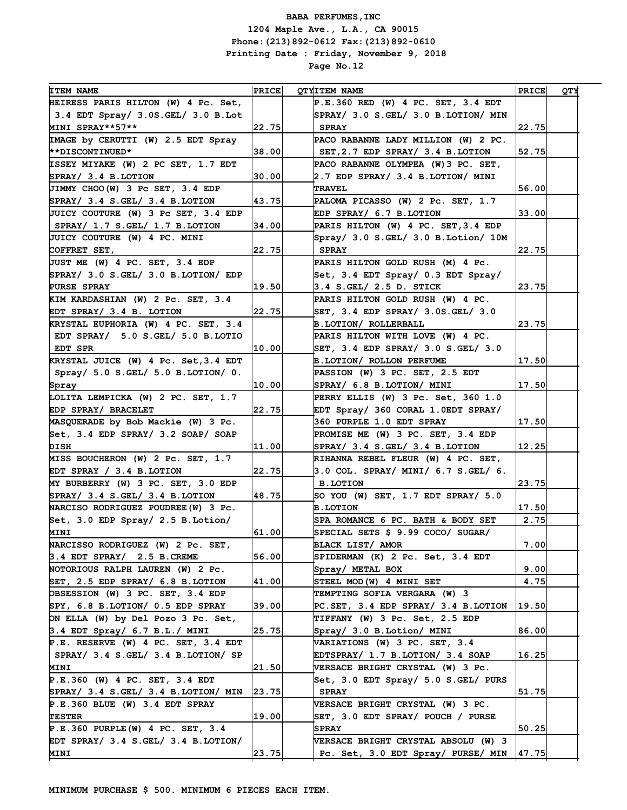| <b>ITEM NAME</b><br><b>PRICE</b><br><b>QTYITEM NAME</b><br>HEIRESS PARIS HILTON (W) 4 Pc. Set,<br>P.E.360 RED (W) 4 PC. SET, 3.4 EDT<br>3.4 EDT Spray/ 3.0S. GEL/ 3.0 B. Lot<br>SPRAY/ 3.0 S.GEL/ 3.0 B.LOTION/ MIN | <b>PRICE</b> | YTQ |
|---------------------------------------------------------------------------------------------------------------------------------------------------------------------------------------------------------------------|--------------|-----|
|                                                                                                                                                                                                                     |              |     |
|                                                                                                                                                                                                                     |              |     |
| MINI SPRAY**57**<br>22.75<br><b>SPRAY</b>                                                                                                                                                                           | 22.75        |     |
| IMAGE by CERUTTI (W) 2.5 EDT Spray<br>PACO RABANNE LADY MILLION (W) 2 PC.                                                                                                                                           |              |     |
| SET, 2.7 EDP SPRAY/ 3.4 B. LOTION<br><b>**DISCONTINUED*</b><br>38.00                                                                                                                                                | 52.75        |     |
| ISSEY MIYAKE (W) 2 PC SET, 1.7 EDT<br>PACO RABANNE OLYMPEA (W) 3 PC. SET,                                                                                                                                           |              |     |
| $SPRAY/ 3.4 B.$ LOTION<br>2.7 EDP SPRAY/ 3.4 B.LOTION/ MINI<br>30.00                                                                                                                                                |              |     |
| JIMMY CHOO(W) 3 Pc SET, 3.4 EDP<br><b>TRAVEL</b>                                                                                                                                                                    | 56.00        |     |
| SPRAY/ 3.4 S.GEL/ 3.4 B.LOTION<br>43.75<br>PALOMA PICASSO (W) 2 Pc. SET, 1.7                                                                                                                                        |              |     |
| EDP SPRAY/ 6.7 B.LOTION<br>JUICY COUTURE (W) 3 Pc SET, 3.4 EDP                                                                                                                                                      | 33.00        |     |
| PARIS HILTON (W) 4 PC. SET, 3.4 EDP<br>$ $ SPRAY/ 1.7 S.GEL/ 1.7 B.LOTION<br>34.00                                                                                                                                  |              |     |
| Spray/ 3.0 S.GEL/ 3.0 B.Lotion/ 10M<br>JUICY COUTURE (W) 4 PC. MINI                                                                                                                                                 |              |     |
| 22.75<br>COFFRET SET,<br><b>SPRAY</b>                                                                                                                                                                               | 22.75        |     |
| JUST ME (W) 4 PC. SET, 3.4 EDP<br>PARIS HILTON GOLD RUSH (M) 4 Pc.                                                                                                                                                  |              |     |
| SPRAY/ 3.0 S. GEL/ 3.0 B.LOTION/ EDP<br>Set, 3.4 EDT Spray/ 0.3 EDT Spray/                                                                                                                                          |              |     |
| 19.50<br>3.4 S.GEL/ 2.5 D. STICK<br><b>PURSE SPRAY</b>                                                                                                                                                              | 23.75        |     |
| KIM KARDASHIAN (W) 2 Pc. SET, 3.4<br>PARIS HILTON GOLD RUSH (W) 4 PC.                                                                                                                                               |              |     |
| EDT SPRAY/ 3.4 B. LOTION<br>22.75<br>SET, $3.4$ EDP SPRAY/ $3.0$ S.GEL/ $3.0$                                                                                                                                       |              |     |
| KRYSTAL EUPHORIA (W) 4 PC. SET, 3.4<br>B. LOTION/ ROLLERBALL                                                                                                                                                        | 23.75        |     |
| EDT SPRAY/ 5.0 S.GEL/ 5.0 B.LOTIO<br>PARIS HILTON WITH LOVE (W) 4 PC.                                                                                                                                               |              |     |
| EDT SPR<br>SET, $3.4$ EDP SPRAY/ $3.0$ S. GEL/ $3.0$<br> 10.00                                                                                                                                                      |              |     |
| KRYSTAL JUICE (W) 4 Pc. Set, 3.4 EDT<br><b>B. LOTION/ ROLLON PERFUME</b>                                                                                                                                            | 17.50        |     |
| Spray/ 5.0 S.GEL/ 5.0 B.LOTION/ 0.<br>PASSION (W) 3 PC. SET, 2.5 EDT                                                                                                                                                |              |     |
| SPRAY/ 6.8 B.LOTION/ MINI<br> 10.00 <br>Spray                                                                                                                                                                       | 17.50        |     |
| LOLITA LEMPICKA (W) 2 PC. SET, 1.7<br>PERRY ELLIS (W) 3 Pc. Set, 360 1.0                                                                                                                                            |              |     |
| EDP SPRAY/ BRACELET<br>22.75<br>EDT Spray/ 360 CORAL 1.0EDT SPRAY/                                                                                                                                                  |              |     |
| MASQUERADE by Bob Mackie (W) 3 Pc.<br>360 PURPLE 1.0 EDT SPRAY                                                                                                                                                      | 17.50        |     |
| Set, 3.4 EDP SPRAY/ 3.2 SOAP/ SOAP<br>PROMISE ME (W) 3 PC. SET, 3.4 EDP                                                                                                                                             |              |     |
| SPRAY/ 3.4 S.GEL/ 3.4 B.LOTION<br>DISH<br> 11.00                                                                                                                                                                    | 12.25        |     |
| MISS BOUCHERON (W) 2 Pc. SET, 1.7<br>RIHANNA REBEL FLEUR (W) 4 PC. SET,                                                                                                                                             |              |     |
| EDT SPRAY / 3.4 B.LOTION<br>22.75<br>3.0 COL. SPRAY/ MINI/ 6.7 S.GEL/ 6.                                                                                                                                            |              |     |
| <b>B.LOTION</b><br>MY BURBERRY (W) 3 PC. SET, 3.0 EDP                                                                                                                                                               | 23.75        |     |
| SPRAY/ 3.4 S.GEL/ 3.4 B.LOTION<br>48.75<br>SO YOU (W) SET, $1.7$ EDT SPRAY/ $5.0$                                                                                                                                   |              |     |
| NARCISO RODRIGUEZ POUDREE (W) 3 Pc.<br><b>B.LOTION</b>                                                                                                                                                              | 17.50        |     |
| Set, 3.0 EDP Spray/ 2.5 B. Lotion/<br>SPA ROMANCE 6 PC. BATH & BODY SET                                                                                                                                             | 2.75         |     |
| 61.00<br>SPECIAL SETS \$ 9.99 COCO/ SUGAR/<br><b>MINI</b>                                                                                                                                                           |              |     |
| NARCISSO RODRIGUEZ (W) 2 Pc. SET,<br>BLACK LIST/ AMOR                                                                                                                                                               | 7.00         |     |
| 3.4 EDT SPRAY/ 2.5 B.CREME<br>56.00<br>SPIDERMAN (K) 2 Pc. Set, 3.4 EDT                                                                                                                                             |              |     |
| NOTORIOUS RALPH LAUREN (W) 2 Pc.<br>Spray/ METAL BOX                                                                                                                                                                | 9.00         |     |
| SET, 2.5 EDP SPRAY/ 6.8 B.LOTION<br>41.00<br>STEEL MOD (W) 4 MINI SET                                                                                                                                               | 4.75         |     |
| OBSESSION (W) 3 PC. SET, 3.4 EDP<br>TEMPTING SOFIA VERGARA (W) 3                                                                                                                                                    |              |     |
| SPY, 6.8 B.LOTION/ 0.5 EDP SPRAY<br>39.00<br>PC.SET, 3.4 EDP SPRAY/ 3.4 B.LOTION                                                                                                                                    | 19.50        |     |
| ON ELLA (W) by Del Pozo 3 Pc. Set,<br>TIFFANY (W) 3 Pc. Set, 2.5 EDP                                                                                                                                                |              |     |
| 3.4 EDT Spray/ 6.7 B.L./ MINI<br> 25.75 <br>Spray/ 3.0 B. Lotion/ MINI                                                                                                                                              | 86.00        |     |
| P.E. RESERVE (W) 4 PC. SET, 3.4 EDT<br>VARIATIONS (W) 3 PC. SET, 3.4                                                                                                                                                |              |     |
| $ $ SPRAY/ 3.4 S.GEL/ 3.4 B.LOTION/ SP<br>EDTSPRAY/ 1.7 B.LOTION/ 3.4 SOAP                                                                                                                                          | 16.25        |     |
| 21.50 <br>VERSACE BRIGHT CRYSTAL (W) 3 Pc.<br>MINI                                                                                                                                                                  |              |     |
| $P.E.360$ (W) 4 PC. SET, 3.4 EDT<br>Set, 3.0 EDT Spray/ 5.0 S.GEL/ PURS                                                                                                                                             |              |     |
| SPRAY/ 3.4 S.GEL/ 3.4 B.LOTION/ MIN<br>$\vert 23$ . 75 $\vert$<br><b>SPRAY</b>                                                                                                                                      | 51.75        |     |
| P.E.360 BLUE (W) 3.4 EDT SPRAY<br>VERSACE BRIGHT CRYSTAL (W) 3 PC.                                                                                                                                                  |              |     |
| 19.00<br>SET, 3.0 EDT SPRAY/ POUCH / PURSE<br><b>TESTER</b>                                                                                                                                                         |              |     |
| $P.E.360$ PURPLE (W) 4 PC. SET, 3.4<br><b>SPRAY</b>                                                                                                                                                                 | 50.25        |     |
| EDT SPRAY/ 3.4 S.GEL/ 3.4 B.LOTION/<br><b>VERSACE BRIGHT CRYSTAL ABSOLU (W) 3</b>                                                                                                                                   |              |     |
| 23.75 <br>MINI<br>Pc. Set, 3.0 EDT Spray/ PURSE/ MIN                                                                                                                                                                | 47.75        |     |